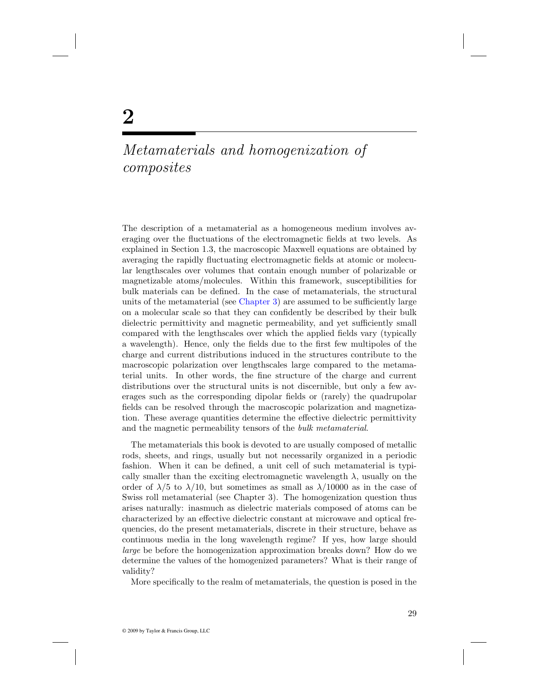# Metamaterials and homogenization of composites

The description of a metamaterial as a homogeneous medium involves averaging over the fluctuations of the electromagnetic fields at two levels. As explained in Section 1.3, the macroscopic Maxwell equations are obtained by averaging the rapidly fluctuating electromagnetic fields at atomic or molecular lengthscales over volumes that contain enough number of polarizable or magnetizable atoms/molecules. Within this framework, susceptibilities for bulk materials can be defined. In the case of metamaterials, the structural units of the metamaterial (see Chapter 3) are assumed to be sufficiently large on a molecular scale so that they can confidently be described by their bulk dielectric permittivity and magnetic permeability, and yet sufficiently small compared with the lengthscales over which the applied fields vary (typically a wavelength). Hence, only the fields due to the first few multipoles of the charge and current distributions induced in the structures contribute to the macroscopic polarization over lengthscales large compared to the metamaterial units. In other words, the fine structure of the charge and current distributions over the structural units is not discernible, but only a few averages such as the corresponding dipolar fields or (rarely) the quadrupolar fields can be resolved through the macroscopic polarization and magnetization. These average quantities determine the effective dielectric permittivity and the magnetic permeability tensors of the *bulk metamaterial*.

The metamaterials this book is devoted to are usually composed of metallic rods, sheets, and rings, usually but not necessarily organized in a periodic fashion. When it can be defined, a unit cell of such metamaterial is typically smaller than the exciting electromagnetic wavelength  $\lambda$ , usually on the order of  $\lambda/5$  to  $\lambda/10$ , but sometimes as small as  $\lambda/10000$  as in the case of Swiss roll metamaterial (see Chapter 3). The homogenization question thus arises naturally: inasmuch as dielectric materials composed of atoms can be characterized by an effective dielectric constant at microwave and optical frequencies, do the present metamaterials, discrete in their structure, behave as continuous media in the long wavelength regime? If yes, how large should *large* be before the homogenization approximation breaks down? How do we determine the values of the homogenized parameters? What is their range of validity?

More specifically to the realm of metamaterials, the question is posed in the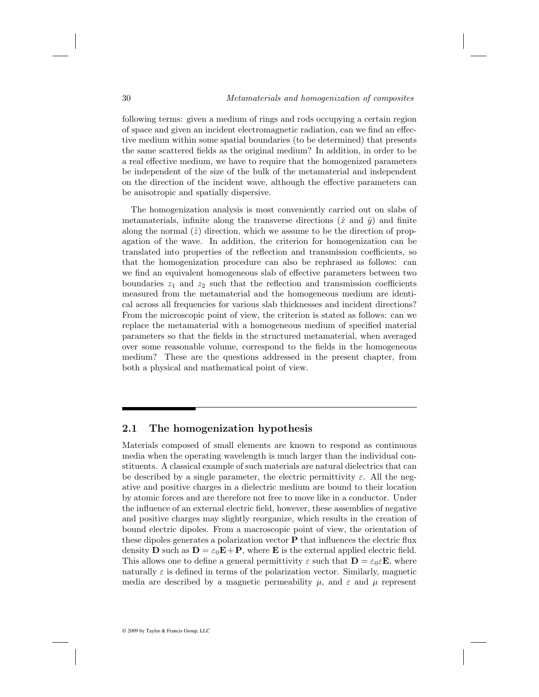following terms: given a medium of rings and rods occupying a certain region of space and given an incident electromagnetic radiation, can we find an effective medium within some spatial boundaries (to be determined) that presents the same scattered fields as the original medium? In addition, in order to be a real effective medium, we have to require that the homogenized parameters be independent of the size of the bulk of the metamaterial and independent on the direction of the incident wave, although the effective parameters can be anisotropic and spatially dispersive.

The homogenization analysis is most conveniently carried out on slabs of metamaterials, infinite along the transverse directions  $(\hat{x}$  and  $\hat{y})$  and finite along the normal  $(\hat{z})$  direction, which we assume to be the direction of propagation of the wave. In addition, the criterion for homogenization can be translated into properties of the reflection and transmission coefficients, so that the homogenization procedure can also be rephrased as follows: can we find an equivalent homogeneous slab of effective parameters between two boundaries  $z_1$  and  $z_2$  such that the reflection and transmission coefficients measured from the metamaterial and the homogeneous medium are identical across all frequencies for various slab thicknesses and incident directions? From the microscopic point of view, the criterion is stated as follows: can we replace the metamaterial with a homogeneous medium of specified material parameters so that the fields in the structured metamaterial, when averaged over some reasonable volume, correspond to the fields in the homogeneous medium? These are the questions addressed in the present chapter, from both a physical and mathematical point of view.

## **2.1 The homogenization hypothesis**

Materials composed of small elements are known to respond as continuous media when the operating wavelength is much larger than the individual constituents. A classical example of such materials are natural dielectrics that can be described by a single parameter, the electric permittivity  $\varepsilon$ . All the negative and positive charges in a dielectric medium are bound to their location by atomic forces and are therefore not free to move like in a conductor. Under the influence of an external electric field, however, these assemblies of negative and positive charges may slightly reorganize, which results in the creation of bound electric dipoles. From a macroscopic point of view, the orientation of these dipoles generates a polarization vector **P** that influences the electric flux density **D** such as  $\mathbf{D} = \varepsilon_0 \mathbf{E} + \mathbf{P}$ , where **E** is the external applied electric field. This allows one to define a general permittivity  $\varepsilon$  such that  $\mathbf{D} = \varepsilon_0 \varepsilon \mathbf{E}$ , where naturally  $\varepsilon$  is defined in terms of the polarization vector. Similarly, magnetic media are described by a magnetic permeability  $\mu$ , and  $\varepsilon$  and  $\mu$  represent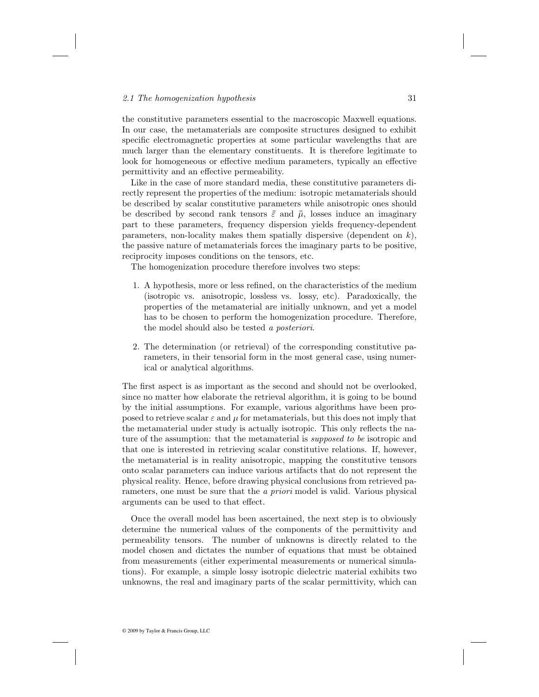<span id="page-2-0"></span>the constitutive parameters essential to the macroscopic Maxwell equations. In our case, the metamaterials are composite structures designed to exhibit specific electromagnetic properties at some particular wavelengths that are much larger than the elementary constituents. It is therefore legitimate to look for homogeneous or effective medium parameters, typically an effective permittivity and an effective permeability.

Like in the case of more standard media, these constitutive parameters directly represent the properties of the medium: isotropic metamaterials should be described by scalar constitutive parameters while anisotropic ones should be described by second rank tensors  $\bar{\bar{\varepsilon}}$  and  $\bar{\bar{\mu}}$ , losses induce an imaginary part to these parameters, frequency dispersion yields frequency-dependent parameters, non-locality makes them spatially dispersive (dependent on  $k$ ), the passive nature of metamaterials forces the imaginary parts to be positive, reciprocity imposes conditions on the tensors, etc.

The homogenization procedure therefore involves two steps:

- 1. A hypothesis, more or less refined, on the characteristics of the medium (isotropic vs. anisotropic, lossless vs. lossy, etc). Paradoxically, the properties of the metamaterial are initially unknown, and yet a model has to be chosen to perform the homogenization procedure. Therefore, the model should also be tested *a posteriori*.
- 2. The determination (or retrieval) of the corresponding constitutive parameters, in their tensorial form in the most general case, using numerical or analytical algorithms.

The first aspect is as important as the second and should not be overlooked, since no matter how elaborate the retrieval algorithm, it is going to be bound by the initial assumptions. For example, various algorithms have been proposed to retrieve scalar  $\varepsilon$  and  $\mu$  for metamaterials, but this does not imply that the metamaterial under study is actually isotropic. This only reflects the nature of the assumption: that the metamaterial is *supposed to be* isotropic and that one is interested in retrieving scalar constitutive relations. If, however, the metamaterial is in reality anisotropic, mapping the constitutive tensors onto scalar parameters can induce various artifacts that do not represent the physical reality. Hence, before drawing physical conclusions from retrieved parameters, one must be sure that the *a priori* model is valid. Various physical arguments can be used to that effect.

Once the overall model has been ascertained, the next step is to obviously determine the numerical values of the components of the permittivity and permeability tensors. The number of unknowns is directly related to the model chosen and dictates the number of equations that must be obtained from measurements (either experimental measurements or numerical simulations). For example, a simple lossy isotropic dielectric material exhibits two unknowns, the real and imaginary parts of the scalar permittivity, which can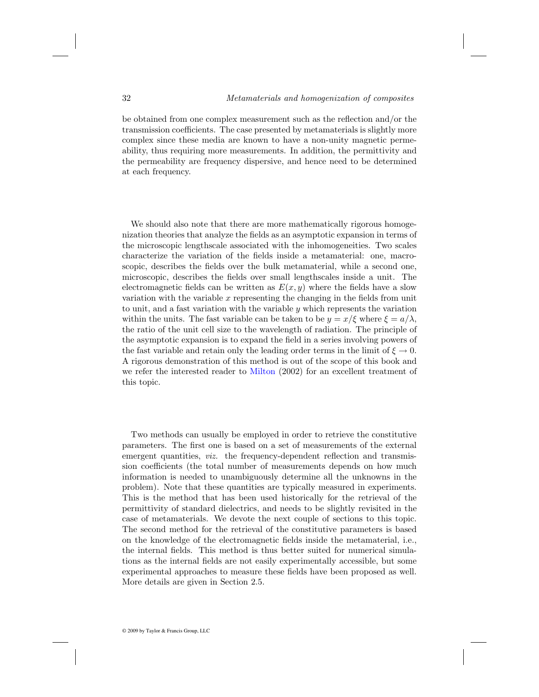be obtained from one complex measurement such as the reflection and/or the transmission coefficients. The case presented by metamaterials is slightly more complex since these media are known to have a non-unity magnetic permeability, thus requiring more measurements. In addition, the permittivity and the permeability are frequency dispersive, and hence need to be determined at each frequency.

We should also note that there are more mathematically rigorous homogenization theories that analyze the fields as an asymptotic expansion in terms of the microscopic lengthscale associated with the inhomogeneities. Two scales characterize the variation of the fields inside a metamaterial: one, macroscopic, describes the fields over the bulk metamaterial, while a second one, microscopic, describes the fields over small lengthscales inside a unit. The electromagnetic fields can be written as  $E(x, y)$  where the fields have a slow variation with the variable x representing the changing in the fields from unit to unit, and a fast variation with the variable  $y$  which represents the variation within the units. The fast variable can be taken to be  $y = x/\xi$  where  $\xi = a/\lambda$ , the ratio of the unit cell size to the wavelength of radiation. The principle of the asymptotic expansion is to expand the field in a series involving powers of the fast variable and retain only the leading order terms in the limit of  $\xi \to 0$ . A rigorous demonstration of this method is out of the scope of this book and we refer the interested reader to [Milton](#page-10-0) (2002) for an excellent treatment of this topic.

Two methods can usually be employed in order to retrieve the constitutive parameters. The first one is based on a set of measurements of the external emergent quantities, *viz.* the frequency-dependent reflection and transmission coefficients (the total number of measurements depends on how much information is needed to unambiguously determine all the unknowns in the problem). Note that these quantities are typically measured in experiments. This is the method that has been used historically for the retrieval of the permittivity of standard dielectrics, and needs to be slightly revisited in the case of metamaterials. We devote the next couple of sections to this topic. The second method for the retrieval of the constitutive parameters is based on the knowledge of the electromagnetic fields inside the metamaterial, i.e., the internal fields. This method is thus better suited for numerical simulations as the internal fields are not easily experimentally accessible, but some experimental approaches to measure these fields have been proposed as well. More details are given in Section 2.5.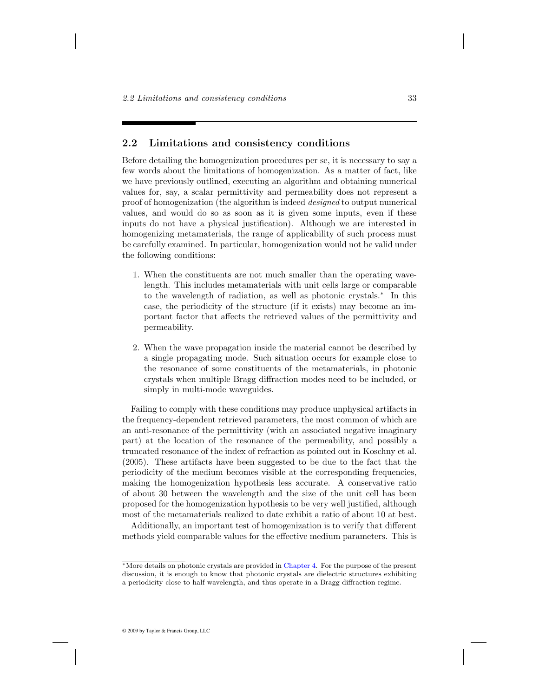## **2.2 Limitations and consistency conditions**

Before detailing the homogenization procedures per se, it is necessary to say a few words about the limitations of homogenization. As a matter of fact, like we have previously outlined, executing an algorithm and obtaining numerical values for, say, a scalar permittivity and permeability does not represent a proof of homogenization (the algorithm is indeed *designed* to output numerical values, and would do so as soon as it is given some inputs, even if these inputs do not have a physical justification). Although we are interested in homogenizing metamaterials, the range of applicability of such process must be carefully examined. In particular, homogenization would not be valid under the following conditions:

- 1. When the constituents are not much smaller than the operating wavelength. This includes metamaterials with unit cells large or comparable to the wavelength of radiation, as well as photonic crystals.<sup>∗</sup> In this case, the periodicity of the structure (if it exists) may become an important factor that affects the retrieved values of the permittivity and permeability.
- 2. When the wave propagation inside the material cannot be described by a single propagating mode. Such situation occurs for example close to the resonance of some constituents of the metamaterials, in photonic crystals when multiple Bragg diffraction modes need to be included, or simply in multi-mode waveguides.

Failing to comply with these conditions may produce unphysical artifacts in the frequency-dependent retrieved parameters, the most common of which are an anti-resonance of the permittivity (with an associated negative imaginary part) at the location of the resonance of the permeability, and possibly a truncated resonance of the index of refraction as pointed out in Koschny et al. (2005). These artifacts have been suggested to be due to the fact that the periodicity of the medium becomes visible at the corresponding frequencies, making the homogenization hypothesis less accurate. A conservative ratio of about 30 between the wavelength and the size of the unit cell has been proposed for the homogenization hypothesis to be very well justified, although most of the metamaterials realized to date exhibit a ratio of about 10 at best.

Additionally, an important test of homogenization is to verify that different methods yield comparable values for the effective medium parameters. This is

<sup>∗</sup>More details on photonic crystals are provided in Chapter 4. For the purpose of the present discussion, it is enough to know that photonic crystals are dielectric structures exhibiting a periodicity close to half wavelength, and thus operate in a Bragg diffraction regime.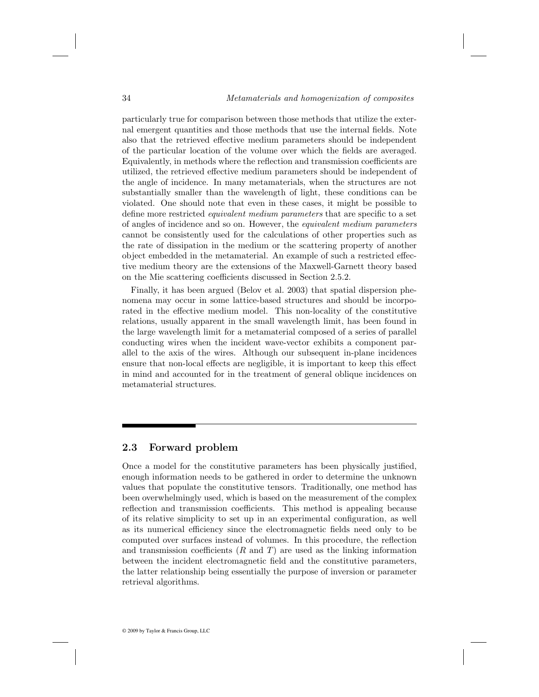particularly true for comparison between those methods that utilize the external emergent quantities and those methods that use the internal fields. Note also that the retrieved effective medium parameters should be independent of the particular location of the volume over which the fields are averaged. Equivalently, in methods where the reflection and transmission coefficients are utilized, the retrieved effective medium parameters should be independent of the angle of incidence. In many metamaterials, when the structures are not substantially smaller than the wavelength of light, these conditions can be violated. One should note that even in these cases, it might be possible to define more restricted *equivalent medium parameters* that are specific to a set of angles of incidence and so on. However, the *equivalent medium parameters* cannot be consistently used for the calculations of other properties such as the rate of dissipation in the medium or the scattering property of another object embedded in the metamaterial. An example of such a restricted effective medium theory are the extensions of the Maxwell-Garnett theory based on the Mie scattering coefficients discussed in Section 2.5.2.

Finally, it has been argued (Belov et al. 2003) that spatial dispersion phenomena may occur in some lattice-based structures and should be incorporated in the effective medium model. This non-locality of the constitutive relations, usually apparent in the small wavelength limit, has been found in the large wavelength limit for a metamaterial composed of a series of parallel conducting wires when the incident wave-vector exhibits a component parallel to the axis of the wires. Although our subsequent in-plane incidences ensure that non-local effects are negligible, it is important to keep this effect in mind and accounted for in the treatment of general oblique incidences on metamaterial structures.

### **2.3 Forward problem**

Once a model for the constitutive parameters has been physically justified, enough information needs to be gathered in order to determine the unknown values that populate the constitutive tensors. Traditionally, one method has been overwhelmingly used, which is based on the measurement of the complex reflection and transmission coefficients. This method is appealing because of its relative simplicity to set up in an experimental configuration, as well as its numerical efficiency since the electromagnetic fields need only to be computed over surfaces instead of volumes. In this procedure, the reflection and transmission coefficients  $(R \text{ and } T)$  are used as the linking information between the incident electromagnetic field and the constitutive parameters, the latter relationship being essentially the purpose of inversion or parameter retrieval algorithms.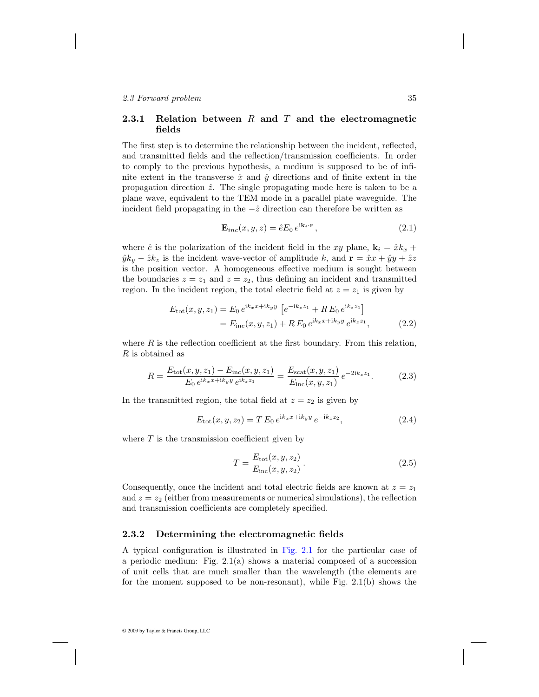## **2.3.1 Relation between** R **and** T **and the electromagnetic fields**

The first step is to determine the relationship between the incident, reflected, and transmitted fields and the reflection/transmission coefficients. In order to comply to the previous hypothesis, a medium is supposed to be of infinite extent in the transverse  $\hat{x}$  and  $\hat{y}$  directions and of finite extent in the propagation direction  $\hat{z}$ . The single propagating mode here is taken to be a plane wave, equivalent to the TEM mode in a parallel plate waveguide. The incident field propagating in the  $-\hat{z}$  direction can therefore be written as

$$
\mathbf{E}_{inc}(x, y, z) = \hat{e}E_0 e^{\mathbf{i}\mathbf{k}_i \cdot \mathbf{r}},\qquad(2.1)
$$

where  $\hat{e}$  is the polarization of the incident field in the xy plane,  $\mathbf{k}_i = \hat{x}k_x + \hat{z}k_y$  $\hat{y}k_y - \hat{z}k_z$  is the incident wave-vector of amplitude k, and  $\mathbf{r} = \hat{x}x + \hat{y}y + \hat{z}z$ is the position vector. A homogeneous effective medium is sought between the boundaries  $z = z_1$  and  $z = z_2$ , thus defining an incident and transmitted region. In the incident region, the total electric field at  $z = z<sub>1</sub>$  is given by

$$
E_{\text{tot}}(x, y, z_1) = E_0 e^{ik_x x + ik_y y} \left[ e^{-ik_z z_1} + R E_0 e^{ik_z z_1} \right]
$$
  
= 
$$
E_{\text{inc}}(x, y, z_1) + R E_0 e^{ik_x x + ik_y y} e^{ik_z z_1},
$$
 (2.2)

where  $R$  is the reflection coefficient at the first boundary. From this relation, R is obtained as

$$
R = \frac{E_{\text{tot}}(x, y, z_1) - E_{\text{inc}}(x, y, z_1)}{E_0 e^{ik_x x + ik_y y} e^{ik_z z_1}} = \frac{E_{\text{scat}}(x, y, z_1)}{E_{\text{inc}}(x, y, z_1)} e^{-2ik_z z_1}.
$$
 (2.3)

In the transmitted region, the total field at  $z = z_2$  is given by

$$
E_{\text{tot}}(x, y, z_2) = T E_0 e^{ik_x x + ik_y y} e^{-ik_z z_2}, \qquad (2.4)
$$

where  $T$  is the transmission coefficient given by

$$
T = \frac{E_{\text{tot}}(x, y, z_2)}{E_{\text{inc}}(x, y, z_2)}.
$$
 (2.5)

Consequently, once the incident and total electric fields are known at  $z = z<sub>1</sub>$ and  $z = z<sub>2</sub>$  (either from measurements or numerical simulations), the reflection and transmission coefficients are completely specified.

#### **2.3.2 Determining the electromagnetic fields**

A typical configuration is illustrated in [Fig. 2.1](#page-7-0) for the particular case of a periodic medium: Fig. 2.1(a) shows a material composed of a succession of unit cells that are much smaller than the wavelength (the elements are for the moment supposed to be non-resonant), while Fig.  $2.1(b)$  shows the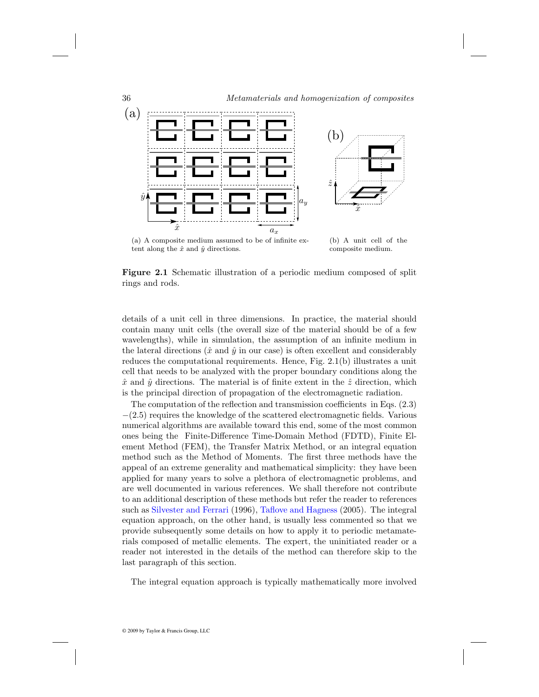<span id="page-7-0"></span>

(a) A composite medium assumed to be of infinite extent along the  $\hat{x}$  and  $\hat{y}$  directions.

(b) A unit cell of the composite medium.

**Figure 2.1** Schematic illustration of a periodic medium composed of split rings and rods.

details of a unit cell in three dimensions. In practice, the material should contain many unit cells (the overall size of the material should be of a few wavelengths), while in simulation, the assumption of an infinite medium in the lateral directions  $(\hat{x} \text{ and } \hat{y} \text{ in our case})$  is often excellent and considerably reduces the computational requirements. Hence, Fig. 2.1(b) illustrates a unit cell that needs to be analyzed with the proper boundary conditions along the  $\hat{x}$  and  $\hat{y}$  directions. The material is of finite extent in the  $\hat{z}$  direction, which is the principal direction of propagation of the electromagnetic radiation.

The computation of the reflection and transmission coefficients in Eqs.  $(2.3)$ −(2.5) requires the knowledge of the scattered electromagnetic fields. Various numerical algorithms are available toward this end, some of the most common ones being the Finite-Difference Time-Domain Method (FDTD), Finite Element Method (FEM), the Transfer Matrix Method, or an integral equation method such as the Method of Moments. The first three methods have the appeal of an extreme generality and mathematical simplicity: they have been applied for many years to solve a plethora of electromagnetic problems, and are well documented in various references. We shall therefore not contribute to an additional description of these methods but refer the reader to references such as [Silvester and Ferrari](#page-16-0) (1996), [Taflove and Hagness](#page-17-0) (2005). The integral equation approach, on the other hand, is usually less commented so that we provide subsequently some details on how to apply it to periodic metamaterials composed of metallic elements. The expert, the uninitiated reader or a reader not interested in the details of the method can therefore skip to the last paragraph of this section.

The integral equation approach is typically mathematically more involved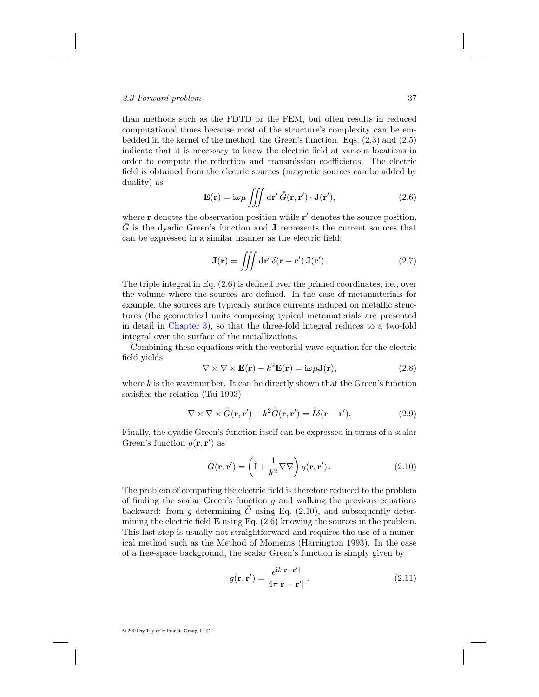than methods such as the FDTD or the FEM, but often results in reduced computational times because most of the structure's complexity can be embedded in the kernel of the method, the Green's function. Eqs. (2.3) and (2.5) indicate that it is necessary to know the electric field at various locations in order to compute the reflection and transmission coefficients. The electric field is obtained from the electric sources (magnetic sources can be added by duality) as

$$
\mathbf{E}(\mathbf{r}) = i\omega\mu \iiint d\mathbf{r}' \,\bar{G}(\mathbf{r}, \mathbf{r}') \cdot \mathbf{J}(\mathbf{r}'), \qquad (2.6)
$$

where  $\bf{r}$  denotes the observation position while  $\bf{r}'$  denotes the source position,  $\overline{G}$  is the dyadic Green's function and **J** represents the current sources that can be expressed in a similar manner as the electric field:

$$
\mathbf{J}(\mathbf{r}) = \iiint d\mathbf{r}' \,\delta(\mathbf{r} - \mathbf{r}') \,\mathbf{J}(\mathbf{r}'). \tag{2.7}
$$

The triple integral in Eq. (2.6) is defined over the primed coordinates, i.e., over the volume where the sources are defined. In the case of metamaterials for example, the sources are typically surface currents induced on metallic structures (the geometrical units composing typical metamaterials are presented in detail in Chapter 3), so that the three-fold integral reduces to a two-fold integral over the surface of the metallizations.

Combining these equations with the vectorial wave equation for the electric field yields

$$
\nabla \times \nabla \times \mathbf{E}(\mathbf{r}) - k^2 \mathbf{E}(\mathbf{r}) = i\omega \mu \mathbf{J}(\mathbf{r}),
$$
 (2.8)

where  $k$  is the wavenumber. It can be directly shown that the Green's function satisfies the relation (Tai 1993)

$$
\nabla \times \nabla \times \overline{\overline{G}}(\mathbf{r}, \mathbf{r}') - k^2 \overline{\overline{G}}(\mathbf{r}, \mathbf{r}') = \overline{\overline{I}} \delta(\mathbf{r} - \mathbf{r}'). \tag{2.9}
$$

Finally, the dyadic Green's function itself can be expressed in terms of a scalar Green's function  $g(\mathbf{r}, \mathbf{r}')$  as

$$
\bar{\bar{G}}(\mathbf{r}, \mathbf{r}') = \left(\bar{\bar{I}} + \frac{1}{k^2} \nabla \nabla\right) g(\mathbf{r}, \mathbf{r}'). \tag{2.10}
$$

The problem of computing the electric field is therefore reduced to the problem of finding the scalar Green's function q and walking the previous equations backward: from q determining  $\bar{G}$  using Eq. (2.10), and subsequently determining the electric field **E** using Eq. (2.6) knowing the sources in the problem. This last step is usually not straightforward and requires the use of a numerical method such as the Method of Moments (Harrington 1993). In the case of a free-space background, the scalar Green's function is simply given by

$$
g(\mathbf{r}, \mathbf{r}') = \frac{e^{ik|\mathbf{r} - \mathbf{r}'|}}{4\pi |\mathbf{r} - \mathbf{r}'|}.
$$
 (2.11)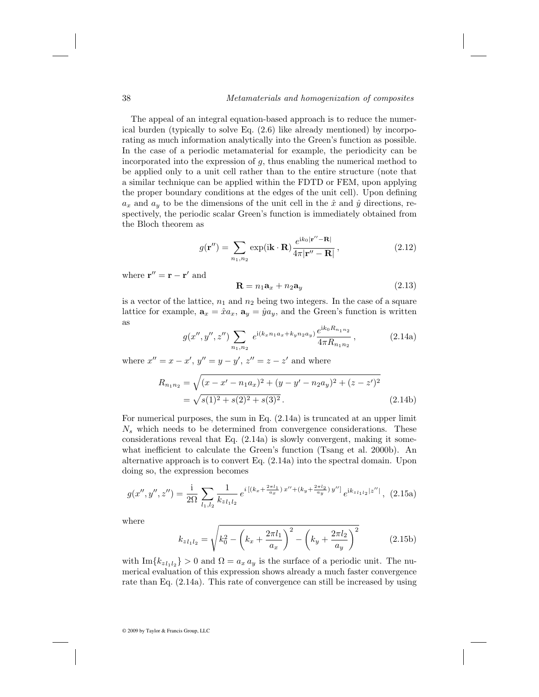<span id="page-9-0"></span>The appeal of an integral equation-based approach is to reduce the numerical burden (typically to solve Eq. (2.6) like already mentioned) by incorporating as much information analytically into the Green's function as possible. In the case of a periodic metamaterial for example, the periodicity can be incorporated into the expression of  $q$ , thus enabling the numerical method to be applied only to a unit cell rather than to the entire structure (note that a similar technique can be applied within the FDTD or FEM, upon applying the proper boundary conditions at the edges of the unit cell). Upon defining  $a_x$  and  $a_y$  to be the dimensions of the unit cell in the  $\hat{x}$  and  $\hat{y}$  directions, respectively, the periodic scalar Green's function is immediately obtained from the Bloch theorem as

$$
g(\mathbf{r}^{"}) = \sum_{n_1, n_2} \exp(i\mathbf{k} \cdot \mathbf{R}) \frac{e^{ik_0|\mathbf{r}^{"}-\mathbf{R}|}}{4\pi|\mathbf{r}^{"}-\mathbf{R}|},
$$
\n(2.12)

where  $\mathbf{r}'' = \mathbf{r} - \mathbf{r}'$  and

$$
\mathbf{R} = n_1 \mathbf{a}_x + n_2 \mathbf{a}_y \tag{2.13}
$$

is a vector of the lattice,  $n_1$  and  $n_2$  being two integers. In the case of a square lattice for example,  $\mathbf{a}_x = \hat{x} a_x$ ,  $\mathbf{a}_y = \hat{y} a_y$ , and the Green's function is written as

$$
g(x'', y'', z'') \sum_{n_1, n_2} e^{i(k_x n_1 a_x + k_y n_2 a_y)} \frac{e^{ik_0 R_{n_1 n_2}}}{4 \pi R_{n_1 n_2}}, \qquad (2.14a)
$$

where  $x'' = x - x'$ ,  $y'' = y - y'$ ,  $z'' = z - z'$  and where

$$
R_{n_1 n_2} = \sqrt{(x - x' - n_1 a_x)^2 + (y - y' - n_2 a_y)^2 + (z - z')^2}
$$
  
=  $\sqrt{s(1)^2 + s(2)^2 + s(3)^2}$ . (2.14b)

For numerical purposes, the sum in Eq. (2.14a) is truncated at an upper limit  $N<sub>s</sub>$  which needs to be determined from convergence considerations. These considerations reveal that Eq. (2.14a) is slowly convergent, making it somewhat inefficient to calculate the Green's function (Tsang et al. 2000b). An alternative approach is to convert Eq. (2.14a) into the spectral domain. Upon doing so, the expression becomes

$$
g(x'', y'', z'') = \frac{1}{2\Omega} \sum_{l_1, l_2} \frac{1}{k_{z l_1 l_2}} e^{i \left[ (k_x + \frac{2\pi l_1}{a_x}) x'' + (k_y + \frac{2\pi l_2}{a_y}) y'' \right]} e^{i k_{z l_1 l_2} |z''|}, \tag{2.15a}
$$

where

$$
k_{z l_1 l_2} = \sqrt{k_0^2 - \left(k_x + \frac{2\pi l_1}{a_x}\right)^2 - \left(k_y + \frac{2\pi l_2}{a_y}\right)^2}
$$
 (2.15b)

with  $\text{Im}\{k_{z_1}k_2\} > 0$  and  $\Omega = a_x a_y$  is the surface of a periodic unit. The numerical evaluation of this expression shows already a much faster convergence rate than Eq. (2.14a). This rate of convergence can still be increased by using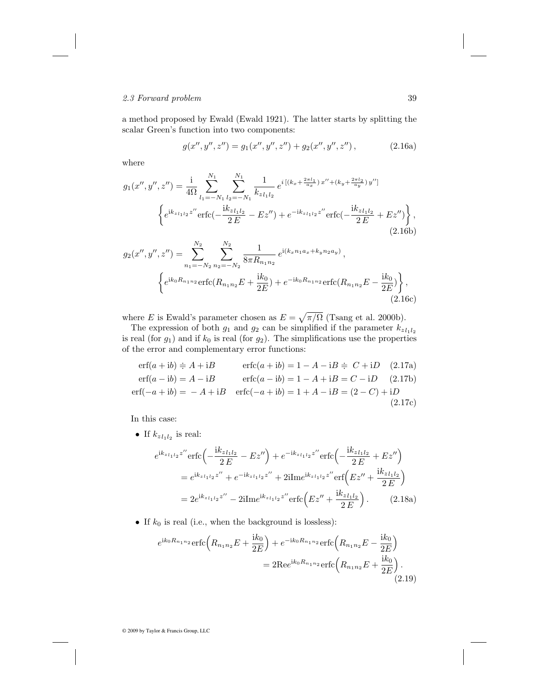<span id="page-10-0"></span>a method proposed by Ewald (Ewald 1921). The latter starts by splitting the scalar Green's function into two components:

$$
g(x'', y'', z'') = g_1(x'', y'', z'') + g_2(x'', y'', z''), \qquad (2.16a)
$$

where

$$
g_1(x'', y'', z'') = \frac{1}{4\Omega} \sum_{l_1 = -N_1}^{N_1} \sum_{l_2 = -N_1}^{N_1} \frac{1}{k_{z l_1 l_2}} e^{i\left[ (k_x + \frac{2\pi l_1}{a_x}) x'' + (k_y + \frac{2\pi l_2}{a_y}) y'' \right]}
$$

$$
\left\{ e^{i k_{z l_1 l_2} z''} \operatorname{erfc}(-\frac{i k_{z l_1 l_2}}{2E} - Ez'') + e^{-i k_{z l_1 l_2} z''} \operatorname{erfc}(-\frac{i k_{z l_1 l_2}}{2E} + Ez'') \right\},
$$
(2.16b)

$$
g_2(x'', y'', z'') = \sum_{n_1 = -N_2}^{N_2} \sum_{n_2 = -N_2}^{N_2} \frac{1}{8\pi R_{n_1 n_2}} e^{i(k_x n_1 a_x + k_y n_2 a_y)},
$$
  

$$
\left\{ e^{ik_0 R_{n_1 n_2}} \text{erfc}(R_{n_1 n_2} E + \frac{ik_0}{2E}) + e^{-ik_0 R_{n_1 n_2}} \text{erfc}(R_{n_1 n_2} E - \frac{ik_0}{2E}) \right\},
$$
\n(2.16c)

where E is Ewald's parameter chosen as  $E = \sqrt{\pi/\Omega}$  (Tsang et al. 2000b).

The expression of both  $g_1$  and  $g_2$  can be simplified if the parameter  $k_{z_l}$ is real (for  $g_1$ ) and if  $k_0$  is real (for  $g_2$ ). The simplifications use the properties of the error and complementary error functions:

erf(a + ib) 
$$
\doteq A + iB
$$
 erfc(a + ib) = 1 - A - iB  $\doteq C + iD$  (2.17a)  
\nerf(a - ib) = A - iB erfc(a - ib) = 1 - A + iB = C - iD (2.17b)  
\nerf(-a + ib) = -A + iB erfc(-a + ib) = 1 + A - iB = (2 - C) + iD (2.17c)

In this case:

• If  $k_{z l_1 l_2}$  is real:

$$
e^{ik_{z l_1 l_2} z''} \text{erfc}\left(-\frac{ik_{z l_1 l_2}}{2 E} - E z''\right) + e^{-ik_{z l_1 l_2} z''} \text{erfc}\left(-\frac{ik_{z l_1 l_2}}{2 E} + E z''\right)
$$

$$
= e^{ik_{z l_1 l_2} z''} + e^{-ik_{z l_1 l_2} z''} + 2i \text{Im} e^{ik_{z l_1 l_2} z''} \text{erf}\left(E z'' + \frac{ik_{z l_1 l_2}}{2 E}\right)
$$

$$
= 2e^{ik_{z l_1 l_2} z''} - 2i \text{Im} e^{ik_{z l_1 l_2} z''} \text{erfc}\left(E z'' + \frac{ik_{z l_1 l_2}}{2 E}\right). \tag{2.18a}
$$

• If  $k_0$  is real (i.e., when the background is lossless):

$$
e^{ik_0R_{n_1n_2}}\text{erfc}\left(R_{n_1n_2}E + \frac{ik_0}{2E}\right) + e^{-ik_0R_{n_1n_2}}\text{erfc}\left(R_{n_1n_2}E - \frac{ik_0}{2E}\right)
$$
  
= 
$$
2\text{Re}e^{ik_0R_{n_1n_2}}\text{erfc}\left(R_{n_1n_2}E + \frac{ik_0}{2E}\right).
$$
(2.19)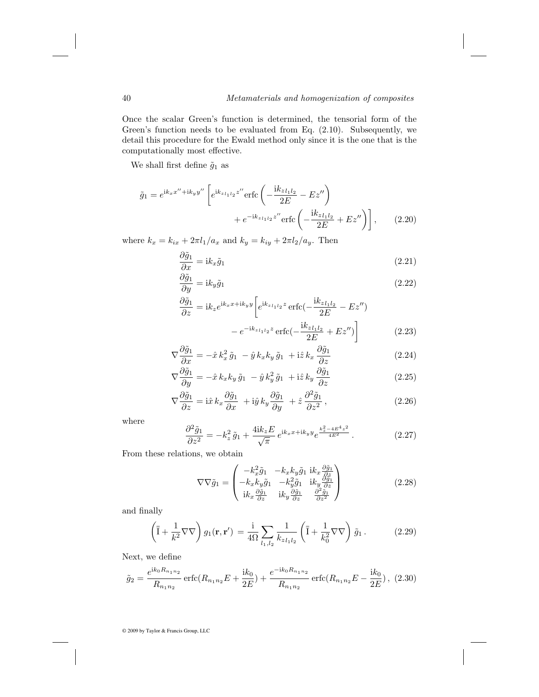Once the scalar Green's function is determined, the tensorial form of the Green's function needs to be evaluated from Eq. (2.10). Subsequently, we detail this procedure for the Ewald method only since it is the one that is the computationally most effective.

We shall first define  $\tilde{g}_1$  as

$$
\tilde{g}_1 = e^{ik_x x'' + ik_y y''} \left[ e^{ik_{z l_1 l_2} z''} \text{erfc} \left( -\frac{ik_{z l_1 l_2}}{2E} - Ez'' \right) + e^{-ik_{z l_1 l_2} z''} \text{erfc} \left( -\frac{ik_{z l_1 l_2}}{2E} + Ez'' \right) \right], \quad (2.20)
$$

where  $k_x = k_{ix} + 2\pi l_1/a_x$  and  $k_y = k_{iy} + 2\pi l_2/a_y$ . Then

$$
\frac{\partial \tilde{g}_1}{\partial x} = i k_x \tilde{g}_1 \tag{2.21}
$$

$$
\frac{\partial \tilde{g}_1}{\partial y} = i k_y \tilde{g}_1 \tag{2.22}
$$

$$
\frac{\partial \tilde{g}_1}{\partial z} = i k_z e^{i k_x x + i k_y y} \left[ e^{i k_{z l_1 l_2} z} \operatorname{erfc}(-\frac{i k_{z l_1 l_2}}{2E} - E z'') - e^{-i k_{z l_1 l_2} z} \operatorname{erfc}(-\frac{i k_{z l_1 l_2}}{2E} + E z'') \right]
$$
(2.23)

$$
\nabla \frac{\partial \tilde{g}_1}{\partial x} = -\hat{x} k_x^2 \tilde{g}_1 - \hat{y} k_x k_y \tilde{g}_1 + i \hat{z} k_x \frac{\partial \tilde{g}_1}{\partial z}
$$
(2.24)

$$
\nabla \frac{\partial \tilde{g}_1}{\partial y} = -\hat{x} k_x k_y \, \tilde{g}_1 \ -\hat{y} k_y^2 \, \tilde{g}_1 \ +\mathrm{i} \hat{z} k_y \, \frac{\partial \tilde{g}_1}{\partial z} \tag{2.25}
$$

$$
\nabla \frac{\partial \tilde{g}_1}{\partial z} = \mathrm{i} \hat{x} \, k_x \frac{\partial \tilde{g}_1}{\partial x} + \mathrm{i} \hat{y} \, k_y \frac{\partial \tilde{g}_1}{\partial y} + \hat{z} \frac{\partial^2 \tilde{g}_1}{\partial z^2} \,, \tag{2.26}
$$

where

$$
\frac{\partial^2 \tilde{g}_1}{\partial z^2} = -k_z^2 \tilde{g}_1 + \frac{4ik_z E}{\sqrt{\pi}} e^{ik_x x + ik_y y} e^{\frac{k_z^2 - 4E^4 z^2}{4E^2}}.
$$
 (2.27)

From these relations, we obtain

$$
\nabla \nabla \tilde{g}_1 = \begin{pmatrix} -k_x^2 \tilde{g}_1 & -k_x k_y \tilde{g}_1 & \mathrm{i} k_x \frac{\partial \tilde{g}_1}{\partial z} \\ -k_x k_y \tilde{g}_1 & -k_y^2 \tilde{g}_1 & \mathrm{i} k_y \frac{\partial \tilde{g}_1}{\partial z} \\ \mathrm{i} k_x \frac{\partial \tilde{g}_1}{\partial z} & \mathrm{i} k_y \frac{\partial \tilde{g}_1}{\partial z} & \frac{\partial^2 \tilde{g}_1}{\partial z^2} \end{pmatrix}
$$
(2.28)

and finally

$$
\left(\overline{\overline{I}} + \frac{1}{k^2} \nabla \nabla\right) g_1(\mathbf{r}, \mathbf{r}') = \frac{\mathrm{i}}{4\Omega} \sum_{l_1, l_2} \frac{1}{k_{z l_1 l_2}} \left(\overline{\overline{I}} + \frac{1}{k_0^2} \nabla \nabla\right) \tilde{g}_1. \tag{2.29}
$$

Next, we define

$$
\tilde{g}_2 = \frac{e^{ik_0 R_{n_1 n_2}}}{R_{n_1 n_2}} \operatorname{erfc}(R_{n_1 n_2} E + \frac{ik_0}{2E}) + \frac{e^{-ik_0 R_{n_1 n_2}}}{R_{n_1 n_2}} \operatorname{erfc}(R_{n_1 n_2} E - \frac{ik_0}{2E}), \tag{2.30}
$$

#### © 2009 by Taylor & Francis Group, LLC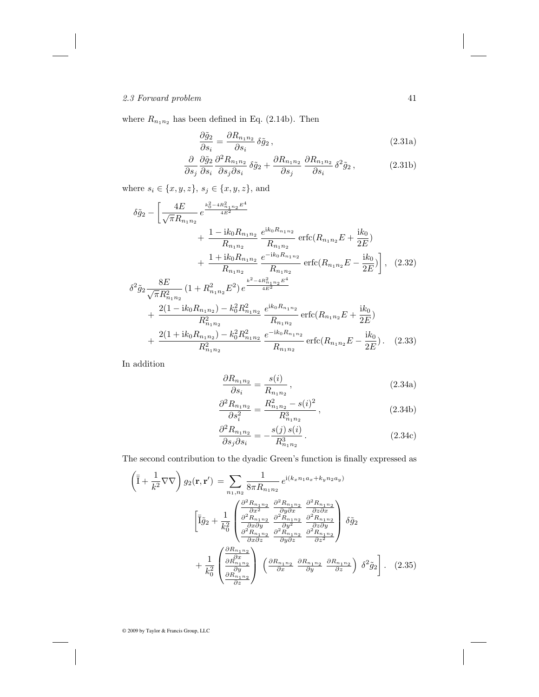where  $R_{n_1n_2}$  has been defined in Eq. (2.14b). Then

$$
\frac{\partial \tilde{g}_2}{\partial s_i} = \frac{\partial R_{n_1 n_2}}{\partial s_i} \delta \tilde{g}_2 ,
$$
\n(2.31a)

$$
\frac{\partial}{\partial s_j} \frac{\partial \tilde{g}_2}{\partial s_i} \frac{\partial^2 R_{n_1 n_2}}{\partial s_j \partial s_i} \delta \tilde{g}_2 + \frac{\partial R_{n_1 n_2}}{\partial s_j} \frac{\partial R_{n_1 n_2}}{\partial s_i} \delta^2 \tilde{g}_2 ,
$$
 (2.31b)

where  $s_i \in \{x, y, z\}, s_j \in \{x, y, z\},$  and

$$
\delta \tilde{g}_2 - \left[ \frac{4E}{\sqrt{\pi} R_{n_1 n_2}} e^{\frac{k_0^2 - 4R_{n_1 n_2}^2 E^4}{4E^2}} + \frac{1 - ik_0 R_{n_1 n_2}}{R_{n_1 n_2}} \frac{e^{ik_0 R_{n_1 n_2}}}{R_{n_1 n_2}} \operatorname{erfc}(R_{n_1 n_2} E + \frac{ik_0}{2E}) + \frac{1 + ik_0 R_{n_1 n_2}}{R_{n_1 n_2}} \frac{e^{-ik_0 R_{n_1 n_2}}}{R_{n_1 n_2}} \operatorname{erfc}(R_{n_1 n_2} E - \frac{ik_0}{2E}) \right], \quad (2.32)
$$
  

$$
\delta^2 \tilde{g}_2 \frac{8E}{\sqrt{\pi} R_{n_1 n_2}^2} (1 + R_{n_1 n_2}^2 E^2) e^{\frac{k^2 - 4R_{n_1 n_2}^2 E^4}{4E^2}} + \frac{2(1 - ik_0 R_{n_1 n_2}) - k_0^2 R_{n_1 n_2}^2}{P^2} e^{ik_0 R_{n_1 n_2}} \operatorname{erfc}(R_{n_1 n_2} E + \frac{ik_0}{2E})
$$

$$
+\frac{2(1 + ik_0R_{n_1n_2}) - k_0R_{n_1n_2}}{R_{n_1n_2}^2} \frac{C}{R_{n_1n_2}} \text{erfc}(R_{n_1n_2}E + \frac{n_0}{2E})
$$
  
+ 
$$
\frac{2(1 + ik_0R_{n_1n_2}) - k_0^2R_{n_1n_2}^2}{R_{n_1n_2}} \frac{e^{-ik_0R_{n_1n_2}}}{R_{n_1n_2}} \text{erfc}(R_{n_1n_2}E - \frac{ik_0}{2E}).
$$
 (2.33)

In addition

$$
\frac{\partial R_{n_1 n_2}}{\partial s_i} = \frac{s(i)}{R_{n_1 n_2}},\tag{2.34a}
$$

$$
\frac{\partial^2 R_{n_1 n_2}}{\partial s_i^2} = \frac{R_{n_1 n_2}^2 - s(i)^2}{R_{n_1 n_2}^3},\tag{2.34b}
$$

$$
\frac{\partial^2 R_{n_1 n_2}}{\partial s_j \partial s_i} = -\frac{s(j) s(i)}{R_{n_1 n_2}^3}.
$$
\n(2.34c)

The second contribution to the dyadic Green's function is finally expressed as

$$
\begin{aligned}\n\left(\bar{\bar{I}} + \frac{1}{k^2} \nabla \nabla\right) g_2(\mathbf{r}, \mathbf{r}') &= \sum_{n_1, n_2} \frac{1}{8\pi R_{n_1 n_2}} e^{i(k_x n_1 a_x + k_y n_2 a_y)} \\
& \left[\bar{\bar{I}} \tilde{g}_2 + \frac{1}{k_0^2} \begin{pmatrix} \frac{\partial^2 R_{n_1 n_2}}{\partial x^2} & \frac{\partial^2 R_{n_1 n_2}}{\partial y \partial x} & \frac{\partial^2 R_{n_1 n_2}}{\partial z \partial x} \\ \frac{\partial^2 R_{n_1 n_2}}{\partial x \partial y} & \frac{\partial^2 R_{n_1 n_2}}{\partial x \partial y} & \frac{\partial^2 R_{n_1 n_2}}{\partial y \partial z} \end{pmatrix} \delta \tilde{g}_2 \\
& \left. + \frac{1}{k_0^2} \begin{pmatrix} \frac{\partial R_{n_1 n_2}}{\partial x \partial x} & \frac{\partial^2 R_{n_1 n_2}}{\partial y \partial z} & \frac{\partial^2 R_{n_1 n_2}}{\partial z^2} \\ \frac{\partial R_{n_1 n_2}}{\partial x \partial z} & \frac{\partial R_{n_1 n_2}}{\partial y} & \frac{\partial R_{n_1 n_2}}{\partial z} \end{pmatrix} \delta^2 \tilde{g}_2 \right] . \quad (2.35)\n\end{aligned}
$$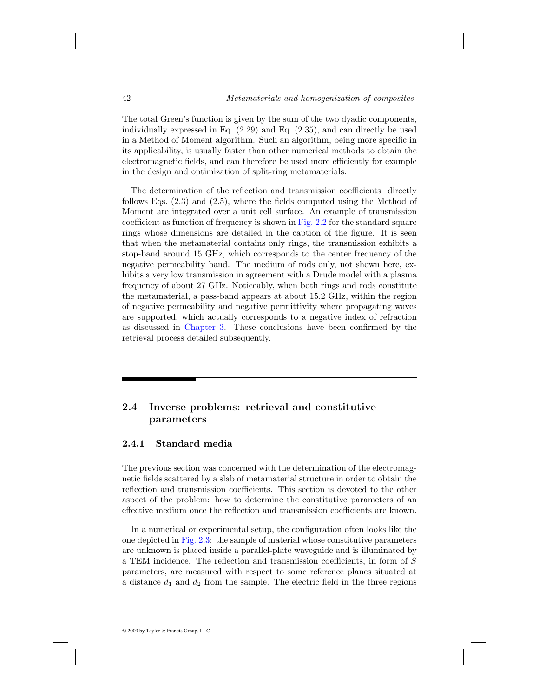The total Green's function is given by the sum of the two dyadic components, individually expressed in Eq.  $(2.29)$  and Eq.  $(2.35)$ , and can directly be used in a Method of Moment algorithm. Such an algorithm, being more specific in its applicability, is usually faster than other numerical methods to obtain the electromagnetic fields, and can therefore be used more efficiently for example in the design and optimization of split-ring metamaterials.

The determination of the reflection and transmission coefficients directly follows Eqs. (2.3) and (2.5), where the fields computed using the Method of Moment are integrated over a unit cell surface. An example of transmission coefficient as function of frequency is shown in [Fig. 2.2](#page-14-0) for the standard square rings whose dimensions are detailed in the caption of the figure. It is seen that when the metamaterial contains only rings, the transmission exhibits a stop-band around 15 GHz, which corresponds to the center frequency of the negative permeability band. The medium of rods only, not shown here, exhibits a very low transmission in agreement with a Drude model with a plasma frequency of about 27 GHz. Noticeably, when both rings and rods constitute the metamaterial, a pass-band appears at about 15.2 GHz, within the region of negative permeability and negative permittivity where propagating waves are supported, which actually corresponds to a negative index of refraction as discussed in Chapter 3. These conclusions have been confirmed by the retrieval process detailed subsequently.

# **2.4 Inverse problems: retrieval and constitutive parameters**

## **2.4.1 Standard media**

The previous section was concerned with the determination of the electromagnetic fields scattered by a slab of metamaterial structure in order to obtain the reflection and transmission coefficients. This section is devoted to the other aspect of the problem: how to determine the constitutive parameters of an effective medium once the reflection and transmission coefficients are known.

In a numerical or experimental setup, the configuration often looks like the one depicted in Fig.  $2.3$ : the sample of material whose constitutive parameters are unknown is placed inside a parallel-plate waveguide and is illuminated by a TEM incidence. The reflection and transmission coefficients, in form of S parameters, are measured with respect to some reference planes situated at a distance  $d_1$  and  $d_2$  from the sample. The electric field in the three regions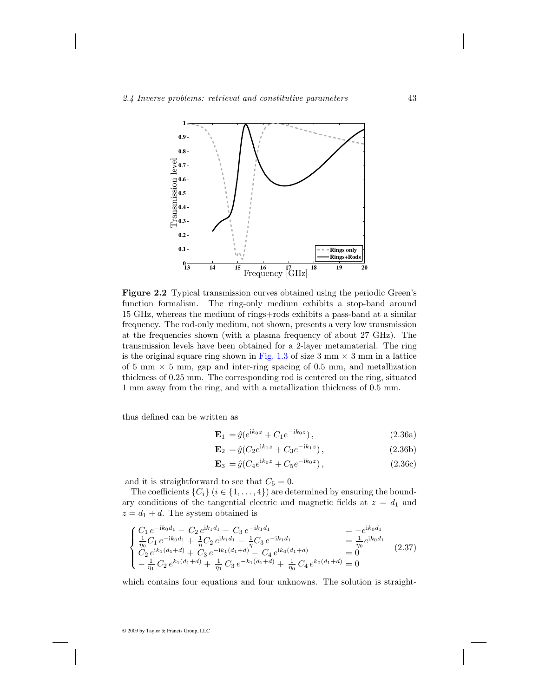<span id="page-14-0"></span>

**Figure 2.2** Typical transmission curves obtained using the periodic Green's function formalism. The ring-only medium exhibits a stop-band around 15 GHz, whereas the medium of rings+rods exhibits a pass-band at a similar frequency. The rod-only medium, not shown, presents a very low transmission at the frequencies shown (with a plasma frequency of about 27 GHz). The transmission levels have been obtained for a 2-layer metamaterial. The ring is the original square ring shown in [Fig. 1.3](#page-9-0) of size 3 mm  $\times$  3 mm in a lattice of 5 mm  $\times$  5 mm, gap and inter-ring spacing of 0.5 mm, and metallization thickness of 0.25 mm. The corresponding rod is centered on the ring, situated 1 mm away from the ring, and with a metallization thickness of 0.5 mm.

thus defined can be written as

$$
\mathbf{E}_1 = \hat{y}(e^{\mathrm{i}k_0 z} + C_1 e^{-\mathrm{i}k_0 z}), \qquad (2.36a)
$$

$$
\mathbf{E}_2 = \hat{y}(C_2 e^{\mathbf{i}k_1 z} + C_3 e^{-\mathbf{i}k_1 z}), \qquad (2.36b)
$$

$$
\mathbf{E}_3 = \hat{y}(C_4 e^{ik_0 z} + C_5 e^{-ik_0 z}), \qquad (2.36c)
$$

and it is straightforward to see that  $C_5 = 0$ .

The coefficients  $\{C_i\}$   $(i \in \{1, ..., 4\})$  are determined by ensuring the boundary conditions of the tangential electric and magnetic fields at  $z = d_1$  and  $z = d_1 + d$ . The system obtained is

$$
\begin{cases}\nC_1 e^{-ik_0 d_1} - C_2 e^{ik_1 d_1} - C_3 e^{-ik_1 d_1} & = -e^{ik_0 d_1} \\
\frac{1}{\eta_0} C_1 e^{-ik_0 d_1} + \frac{1}{\eta} C_2 e^{ik_1 d_1} - \frac{1}{\eta} C_3 e^{-ik_1 d_1} & = \frac{1}{\eta_0} e^{ik_0 d_1} \\
C_2 e^{ik_1 (d_1 + d)} + C_3 e^{-ik_1 (d_1 + d)} - C_4 e^{ik_0 (d_1 + d)} & = 0 \\
-\frac{1}{\eta_1} C_2 e^{k_1 (d_1 + d)} + \frac{1}{\eta_1} C_3 e^{-k_1 (d_1 + d)} + \frac{1}{\eta_0} C_4 e^{k_0 (d_1 + d)} = 0\n\end{cases} (2.37)
$$

which contains four equations and four unknowns. The solution is straight-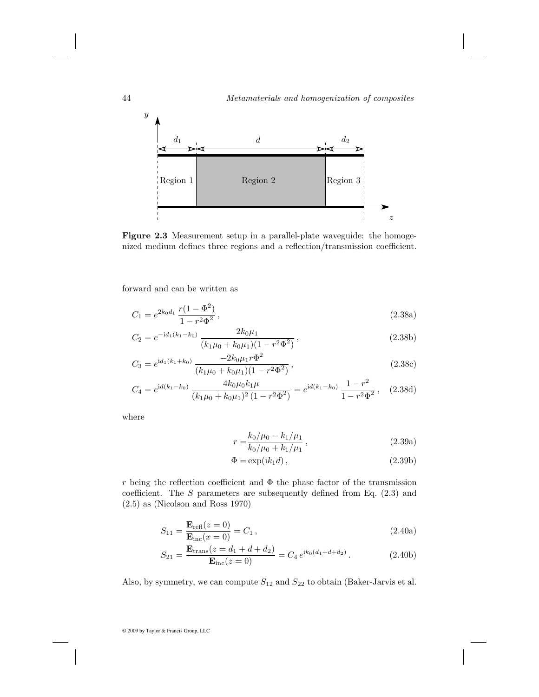<span id="page-15-0"></span>

Figure 2.3 Measurement setup in a parallel-plate waveguide: the homogenized medium defines three regions and a reflection/transmission coefficient.

forward and can be written as

$$
C_1 = e^{2k_0 d_1} \frac{r(1 - \Phi^2)}{1 - r^2 \Phi^2},
$$
\n(2.38a)

$$
C_2 = e^{-id_1(k_1 - k_0)} \frac{2k_0\mu_1}{(k_1\mu_0 + k_0\mu_1)(1 - r^2\Phi^2)},
$$
\n(2.38b)

$$
C_3 = e^{id_1(k_1 + k_0)} \frac{-2k_0\mu_1 r \Phi^2}{(k_1\mu_0 + k_0\mu_1)(1 - r^2 \Phi^2)},
$$
\n(2.38c)

$$
C_4 = e^{id(k_1 - k_0)} \frac{4k_0 \mu_0 k_1 \mu}{(k_1 \mu_0 + k_0 \mu_1)^2 (1 - r^2 \Phi^2)} = e^{id(k_1 - k_0)} \frac{1 - r^2}{1 - r^2 \Phi^2},
$$
 (2.38d)

where

$$
r = \frac{k_0/\mu_0 - k_1/\mu_1}{k_0/\mu_0 + k_1/\mu_1},
$$
\n(2.39a)

$$
\Phi = \exp(ik_1 d), \qquad (2.39b)
$$

r being the reflection coefficient and  $\Phi$  the phase factor of the transmission coefficient. The  $S$  parameters are subsequently defined from Eq.  $(2.3)$  and (2.5) as (Nicolson and Ross 1970)

$$
S_{11} = \frac{\mathbf{E}_{\text{refl}}(z=0)}{\mathbf{E}_{\text{inc}}(x=0)} = C_1, \qquad (2.40a)
$$

$$
S_{21} = \frac{\mathbf{E}_{\text{trans}}(z = d_1 + d + d_2)}{\mathbf{E}_{\text{inc}}(z = 0)} = C_4 e^{\mathrm{i}k_0(d_1 + d + d_2)}.
$$
 (2.40b)

Also, by symmetry, we can compute  $S_{12}$  and  $S_{22}$  to obtain (Baker-Jarvis et al.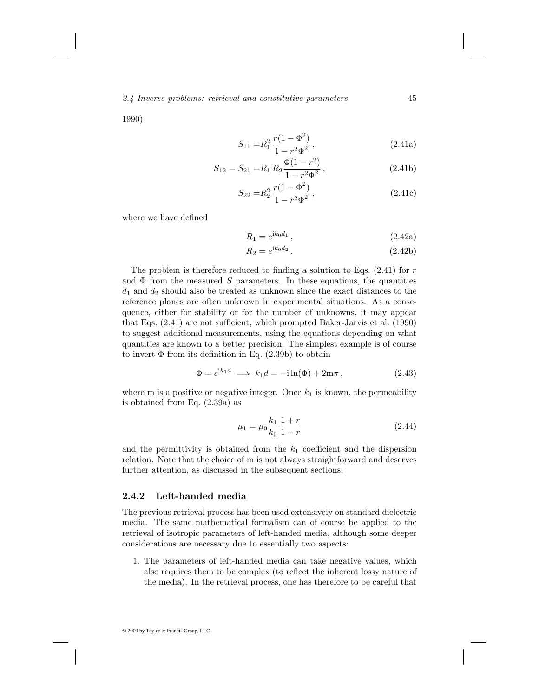<span id="page-16-0"></span>1990)

$$
S_{11} = R_1^2 \frac{r(1 - \Phi^2)}{1 - r^2 \Phi^2},
$$
\n(2.41a)

$$
S_{12} = S_{21} = R_1 R_2 \frac{\Phi(1 - r^2)}{1 - r^2 \Phi^2},
$$
\n(2.41b)

$$
S_{22} = R_2^2 \frac{r(1 - \Phi^2)}{1 - r^2 \Phi^2},
$$
\n(2.41c)

where we have defined

$$
R_1 = e^{ik_0 d_1}, \t\t(2.42a)
$$

$$
R_2 = e^{ik_0 d_2} \,. \tag{2.42b}
$$

The problem is therefore reduced to finding a solution to Eqs.  $(2.41)$  for r and  $\Phi$  from the measured S parameters. In these equations, the quantities  $d_1$  and  $d_2$  should also be treated as unknown since the exact distances to the reference planes are often unknown in experimental situations. As a consequence, either for stability or for the number of unknowns, it may appear that Eqs. (2.41) are not sufficient, which prompted Baker-Jarvis et al. (1990) to suggest additional measurements, using the equations depending on what quantities are known to a better precision. The simplest example is of course to invert  $\Phi$  from its definition in Eq. (2.39b) to obtain

$$
\Phi = e^{ik_1 d} \implies k_1 d = -i \ln(\Phi) + 2m\pi ,\qquad (2.43)
$$

where m is a positive or negative integer. Once  $k_1$  is known, the permeability is obtained from Eq. (2.39a) as

$$
\mu_1 = \mu_0 \frac{k_1}{k_0} \frac{1+r}{1-r} \tag{2.44}
$$

and the permittivity is obtained from the  $k_1$  coefficient and the dispersion relation. Note that the choice of m is not always straightforward and deserves further attention, as discussed in the subsequent sections.

## **2.4.2 Left-handed media**

The previous retrieval process has been used extensively on standard dielectric media. The same mathematical formalism can of course be applied to the retrieval of isotropic parameters of left-handed media, although some deeper considerations are necessary due to essentially two aspects:

1. The parameters of left-handed media can take negative values, which also requires them to be complex (to reflect the inherent lossy nature of the media). In the retrieval process, one has therefore to be careful that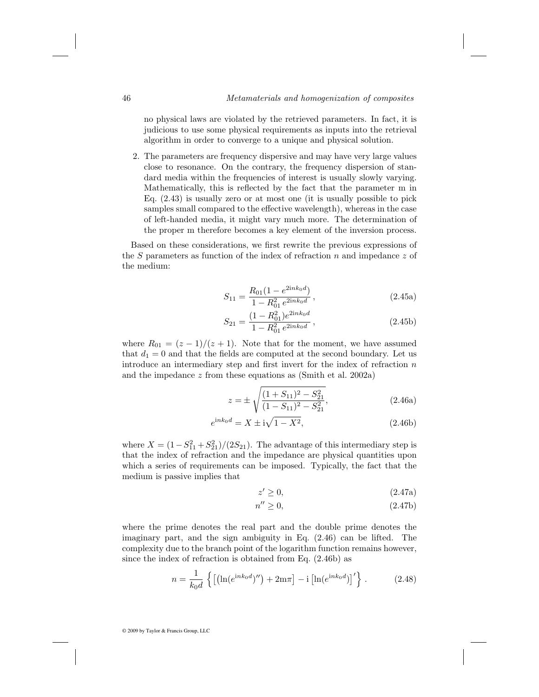<span id="page-17-0"></span>no physical laws are violated by the retrieved parameters. In fact, it is judicious to use some physical requirements as inputs into the retrieval algorithm in order to converge to a unique and physical solution.

2. The parameters are frequency dispersive and may have very large values close to resonance. On the contrary, the frequency dispersion of standard media within the frequencies of interest is usually slowly varying. Mathematically, this is reflected by the fact that the parameter m in Eq. (2.43) is usually zero or at most one (it is usually possible to pick samples small compared to the effective wavelength), whereas in the case of left-handed media, it might vary much more. The determination of the proper m therefore becomes a key element of the inversion process.

Based on these considerations, we first rewrite the previous expressions of the S parameters as function of the index of refraction  $n$  and impedance  $z$  of the medium:

$$
S_{11} = \frac{R_{01}(1 - e^{2ink_0d})}{1 - R_{01}^2 e^{2ink_0d}},
$$
\n(2.45a)

$$
S_{21} = \frac{(1 - R_{01}^2)e^{2ink_0d}}{1 - R_{01}^2 e^{2ink_0d}},
$$
\n(2.45b)

where  $R_{01} = (z - 1)/(z + 1)$ . Note that for the moment, we have assumed that  $d_1 = 0$  and that the fields are computed at the second boundary. Let us introduce an intermediary step and first invert for the index of refraction  $n$ and the impedance z from these equations as (Smith et al. 2002a)

$$
z = \pm \sqrt{\frac{(1 + S_{11})^2 - S_{21}^2}{(1 - S_{11})^2 - S_{21}^2}},
$$
\n(2.46a)

$$
e^{\mathrm{i}nk_0d} = X \pm \mathrm{i}\sqrt{1 - X^2},\tag{2.46b}
$$

where  $X = (1 - S_{11}^2 + S_{21}^2)/(2S_{21})$ . The advantage of this intermediary step is that the index of refraction and the impedance are physical quantities upon which a series of requirements can be imposed. Typically, the fact that the medium is passive implies that

$$
z' \ge 0,\tag{2.47a}
$$

$$
n'' \ge 0,\tag{2.47b}
$$

where the prime denotes the real part and the double prime denotes the imaginary part, and the sign ambiguity in Eq. (2.46) can be lifted. The complexity due to the branch point of the logarithm function remains however, since the index of refraction is obtained from Eq. (2.46b) as

$$
n = \frac{1}{k_0 d} \left\{ \left[ (\ln(e^{ink_0 d})'') + 2m\pi \right] - i \left[ \ln(e^{ink_0 d}) \right]' \right\}.
$$
 (2.48)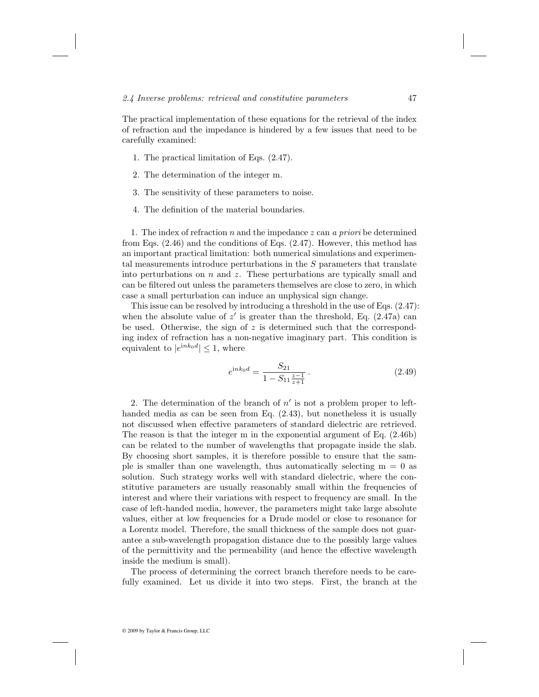The practical implementation of these equations for the retrieval of the index of refraction and the impedance is hindered by a few issues that need to be carefully examined:

- 1. The practical limitation of Eqs. (2.47).
- 2. The determination of the integer m.
- 3. The sensitivity of these parameters to noise.
- 4. The definition of the material boundaries.

1. The index of refraction n and the impedance z can *a priori* be determined from Eqs.  $(2.46)$  and the conditions of Eqs.  $(2.47)$ . However, this method has an important practical limitation: both numerical simulations and experimental measurements introduce perturbations in the S parameters that translate into perturbations on  $n$  and  $z$ . These perturbations are typically small and can be filtered out unless the parameters themselves are close to zero, in which case a small perturbation can induce an unphysical sign change.

This issue can be resolved by introducing a threshold in the use of Eqs. (2.47): when the absolute value of  $z'$  is greater than the threshold, Eq. (2.47a) can be used. Otherwise, the sign of  $z$  is determined such that the corresponding index of refraction has a non-negative imaginary part. This condition is equivalent to  $|e^{ink_0d}| \leq 1$ , where

$$
e^{\mathrm{i}nk_0d} = \frac{S_{21}}{1 - S_{11}\frac{z-1}{z+1}}.
$$
\n(2.49)

2. The determination of the branch of  $n'$  is not a problem proper to lefthanded media as can be seen from Eq. (2.43), but nonetheless it is usually not discussed when effective parameters of standard dielectric are retrieved. The reason is that the integer m in the exponential argument of Eq. (2.46b) can be related to the number of wavelengths that propagate inside the slab. By choosing short samples, it is therefore possible to ensure that the sample is smaller than one wavelength, thus automatically selecting  $m = 0$  as solution. Such strategy works well with standard dielectric, where the constitutive parameters are usually reasonably small within the frequencies of interest and where their variations with respect to frequency are small. In the case of left-handed media, however, the parameters might take large absolute values, either at low frequencies for a Drude model or close to resonance for a Lorentz model. Therefore, the small thickness of the sample does not guarantee a sub-wavelength propagation distance due to the possibly large values of the permittivity and the permeability (and hence the effective wavelength inside the medium is small).

The process of determining the correct branch therefore needs to be carefully examined. Let us divide it into two steps. First, the branch at the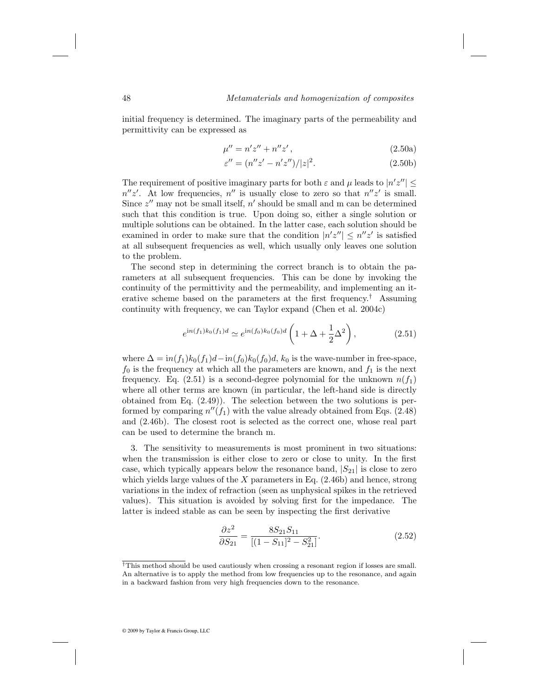initial frequency is determined. The imaginary parts of the permeability and permittivity can be expressed as

$$
\mu'' = n'z'' + n''z',\tag{2.50a}
$$

$$
\varepsilon'' = (n''z' - n'z'')/|z|^2.
$$
\n(2.50b)

The requirement of positive imaginary parts for both  $\varepsilon$  and  $\mu$  leads to  $|n'z''| \leq$  $n''z'$ . At low frequencies,  $n''$  is usually close to zero so that  $n''z'$  is small. Since  $z''$  may not be small itself, n' should be small and m can be determined such that this condition is true. Upon doing so, either a single solution or multiple solutions can be obtained. In the latter case, each solution should be examined in order to make sure that the condition  $|n'z''| \leq n''z'$  is satisfied at all subsequent frequencies as well, which usually only leaves one solution to the problem.

The second step in determining the correct branch is to obtain the parameters at all subsequent frequencies. This can be done by invoking the continuity of the permittivity and the permeability, and implementing an iterative scheme based on the parameters at the first frequency.<sup>†</sup> Assuming continuity with frequency, we can Taylor expand (Chen et al. 2004c)

$$
e^{\mathrm{i}n(f_1)k_0(f_1)d} \simeq e^{\mathrm{i}n(f_0)k_0(f_0)d} \left(1+\Delta+\frac{1}{2}\Delta^2\right),\tag{2.51}
$$

where  $\Delta = \mathrm{i}n(f_1)k_0(f_1)d-\mathrm{i}n(f_0)k_0(f_0)d$ ,  $k_0$  is the wave-number in free-space,  $f_0$  is the frequency at which all the parameters are known, and  $f_1$  is the next frequency. Eq. (2.51) is a second-degree polynomial for the unknown  $n(f_1)$ where all other terms are known (in particular, the left-hand side is directly obtained from Eq. (2.49)). The selection between the two solutions is performed by comparing  $n''(f_1)$  with the value already obtained from Eqs. (2.48) and (2.46b). The closest root is selected as the correct one, whose real part can be used to determine the branch m.

3. The sensitivity to measurements is most prominent in two situations: when the transmission is either close to zero or close to unity. In the first case, which typically appears below the resonance band,  $|S_{21}|$  is close to zero which yields large values of the  $X$  parameters in Eq.  $(2.46b)$  and hence, strong variations in the index of refraction (seen as unphysical spikes in the retrieved values). This situation is avoided by solving first for the impedance. The latter is indeed stable as can be seen by inspecting the first derivative

$$
\frac{\partial z^2}{\partial S_{21}} = \frac{8S_{21}S_{11}}{[(1 - S_{11})^2 - S_{21}^2]}.
$$
\n(2.52)

<sup>†</sup>This method should be used cautiously when crossing a resonant region if losses are small. An alternative is to apply the method from low frequencies up to the resonance, and again in a backward fashion from very high frequencies down to the resonance.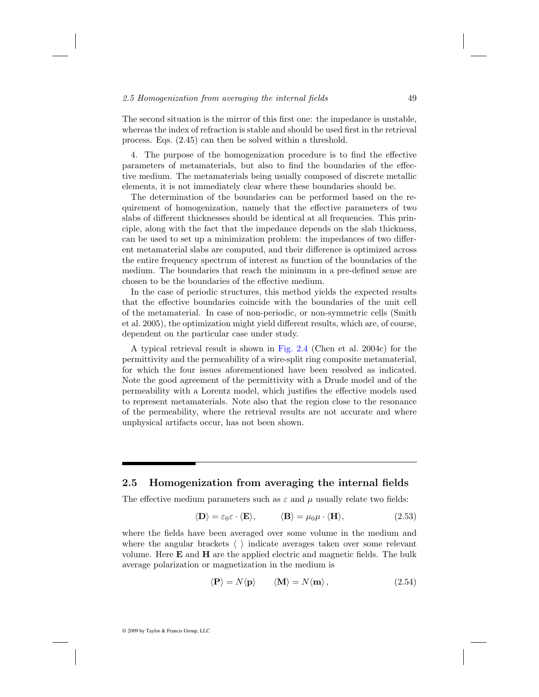The second situation is the mirror of this first one: the impedance is unstable, whereas the index of refraction is stable and should be used first in the retrieval process. Eqs. (2.45) can then be solved within a threshold.

4. The purpose of the homogenization procedure is to find the effective parameters of metamaterials, but also to find the boundaries of the effective medium. The metamaterials being usually composed of discrete metallic elements, it is not immediately clear where these boundaries should be.

The determination of the boundaries can be performed based on the requirement of homogenization, namely that the effective parameters of two slabs of different thicknesses should be identical at all frequencies. This principle, along with the fact that the impedance depends on the slab thickness, can be used to set up a minimization problem: the impedances of two different metamaterial slabs are computed, and their difference is optimized across the entire frequency spectrum of interest as function of the boundaries of the medium. The boundaries that reach the minimum in a pre-defined sense are chosen to be the boundaries of the effective medium.

In the case of periodic structures, this method yields the expected results that the effective boundaries coincide with the boundaries of the unit cell of the metamaterial. In case of non-periodic, or non-symmetric cells (Smith et al. 2005), the optimization might yield different results, which are, of course, dependent on the particular case under study.

A typical retrieval result is shown in [Fig. 2.4](#page-21-0) (Chen et al. 2004c) for the permittivity and the permeability of a wire-split ring composite metamaterial, for which the four issues aforementioned have been resolved as indicated. Note the good agreement of the permittivity with a Drude model and of the permeability with a Lorentz model, which justifies the effective models used to represent metamaterials. Note also that the region close to the resonance of the permeability, where the retrieval results are not accurate and where unphysical artifacts occur, has not been shown.

## **2.5 Homogenization from averaging the internal fields**

The effective medium parameters such as  $\varepsilon$  and  $\mu$  usually relate two fields:

$$
\langle \mathbf{D} \rangle = \varepsilon_0 \varepsilon \cdot \langle \mathbf{E} \rangle, \qquad \langle \mathbf{B} \rangle = \mu_0 \mu \cdot \langle \mathbf{H} \rangle, \tag{2.53}
$$

where the fields have been averaged over some volume in the medium and where the angular brackets  $\langle \rangle$  indicate averages taken over some relevant volume. Here **E** and **H** are the applied electric and magnetic fields. The bulk average polarization or magnetization in the medium is

$$
\langle \mathbf{P} \rangle = N \langle \mathbf{p} \rangle \qquad \langle \mathbf{M} \rangle = N \langle \mathbf{m} \rangle, \tag{2.54}
$$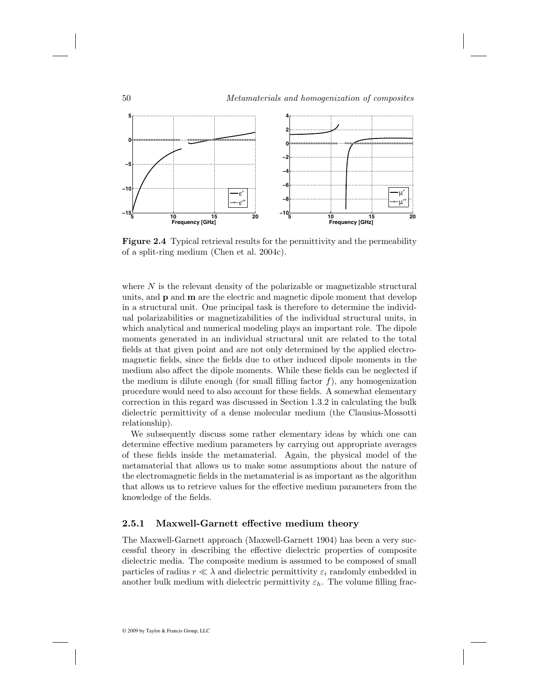<span id="page-21-0"></span>

**Figure 2.4** Typical retrieval results for the permittivity and the permeability of a split-ring medium (Chen et al. 2004c).

where  $N$  is the relevant density of the polarizable or magnetizable structural units, and **p** and **m** are the electric and magnetic dipole moment that develop in a structural unit. One principal task is therefore to determine the individual polarizabilities or magnetizabilities of the individual structural units, in which analytical and numerical modeling plays an important role. The dipole moments generated in an individual structural unit are related to the total fields at that given point and are not only determined by the applied electromagnetic fields, since the fields due to other induced dipole moments in the medium also affect the dipole moments. While these fields can be neglected if the medium is dilute enough (for small filling factor  $f$ ), any homogenization procedure would need to also account for these fields. A somewhat elementary correction in this regard was discussed in Section 1.3.2 in calculating the bulk dielectric permittivity of a dense molecular medium (the Clausius-Mossotti relationship).

We subsequently discuss some rather elementary ideas by which one can determine effective medium parameters by carrying out appropriate averages of these fields inside the metamaterial. Again, the physical model of the metamaterial that allows us to make some assumptions about the nature of the electromagnetic fields in the metamaterial is as important as the algorithm that allows us to retrieve values for the effective medium parameters from the knowledge of the fields.

### **2.5.1 Maxwell-Garnett effective medium theory**

The Maxwell-Garnett approach (Maxwell-Garnett 1904) has been a very successful theory in describing the effective dielectric properties of composite dielectric media. The composite medium is assumed to be composed of small particles of radius  $r \ll \lambda$  and dielectric permittivity  $\varepsilon_i$  randomly embedded in another bulk medium with dielectric permittivity  $\varepsilon_h$ . The volume filling frac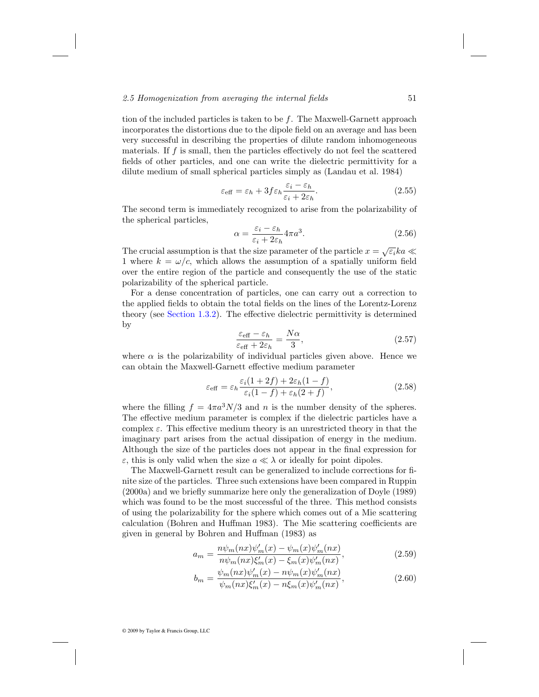<span id="page-22-0"></span>tion of the included particles is taken to be  $f$ . The Maxwell-Garnett approach incorporates the distortions due to the dipole field on an average and has been very successful in describing the properties of dilute random inhomogeneous materials. If f is small, then the particles effectively do not feel the scattered fields of other particles, and one can write the dielectric permittivity for a dilute medium of small spherical particles simply as (Landau et al. 1984)

$$
\varepsilon_{\text{eff}} = \varepsilon_h + 3f\varepsilon_h \frac{\varepsilon_i - \varepsilon_h}{\varepsilon_i + 2\varepsilon_h}.\tag{2.55}
$$

The second term is immediately recognized to arise from the polarizability of the spherical particles,

$$
\alpha = \frac{\varepsilon_i - \varepsilon_h}{\varepsilon_i + 2\varepsilon_h} 4\pi a^3. \tag{2.56}
$$

The crucial assumption is that the size parameter of the particle  $x = \sqrt{\varepsilon_i} k a \ll$ 1 where  $k = \omega/c$ , which allows the assumption of a spatially uniform field over the entire region of the particle and consequently the use of the static polarizability of the spherical particle.

For a dense concentration of particles, one can carry out a correction to the applied fields to obtain the total fields on the lines of the Lorentz-Lorenz theory (see [Section 1.3.2\)](#page-17-0). The effective dielectric permittivity is determined by

$$
\frac{\varepsilon_{\text{eff}} - \varepsilon_h}{\varepsilon_{\text{eff}} + 2\varepsilon_h} = \frac{N\alpha}{3},\tag{2.57}
$$

where  $\alpha$  is the polarizability of individual particles given above. Hence we can obtain the Maxwell-Garnett effective medium parameter

$$
\varepsilon_{\text{eff}} = \varepsilon_h \frac{\varepsilon_i (1 + 2f) + 2\varepsilon_h (1 - f)}{\varepsilon_i (1 - f) + \varepsilon_h (2 + f)},\tag{2.58}
$$

where the filling  $f = 4\pi a^3 N/3$  and n is the number density of the spheres. The effective medium parameter is complex if the dielectric particles have a complex  $\varepsilon$ . This effective medium theory is an unrestricted theory in that the imaginary part arises from the actual dissipation of energy in the medium. Although the size of the particles does not appear in the final expression for  $\varepsilon$ , this is only valid when the size  $a \ll \lambda$  or ideally for point dipoles.

The Maxwell-Garnett result can be generalized to include corrections for finite size of the particles. Three such extensions have been compared in Ruppin (2000a) and we briefly summarize here only the generalization of Doyle (1989) which was found to be the most successful of the three. This method consists of using the polarizability for the sphere which comes out of a Mie scattering calculation (Bohren and Huffman 1983). The Mie scattering coefficients are given in general by Bohren and Huffman (1983) as

$$
a_m = \frac{n\psi_m(nx)\psi_m'(x) - \psi_m(x)\psi_m'(nx)}{n\psi_m(nx)\xi_m'(x) - \xi_m(x)\psi_m'(nx)},
$$
\n(2.59)

$$
b_m = \frac{\psi_m(nx)\psi_m'(x) - n\psi_m(x)\psi_m'(nx)}{\psi_m(nx)\xi_m'(x) - n\xi_m(x)\psi_m'(nx)},
$$
\n(2.60)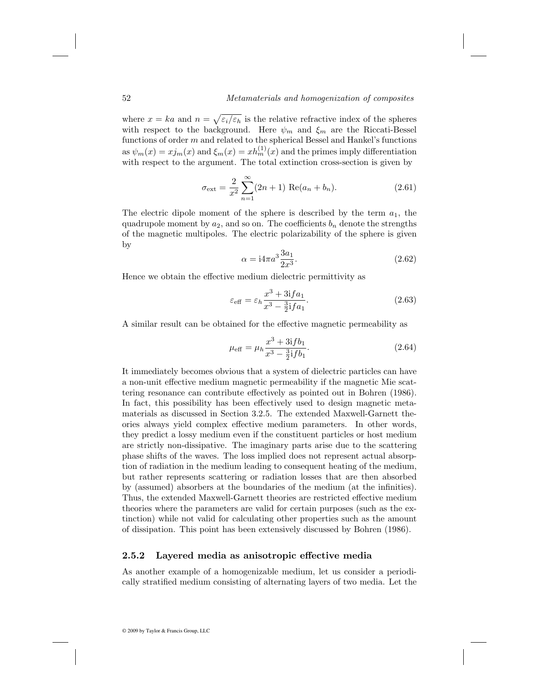where  $x = ka$  and  $n = \sqrt{\varepsilon_i/\varepsilon_h}$  is the relative refractive index of the spheres with respect to the background. Here  $\psi_m$  and  $\xi_m$  are the Riccati-Bessel functions of order  $m$  and related to the spherical Bessel and Hankel's functions as  $\psi_m(x) = xj_m(x)$  and  $\xi_m(x) = xh_m^{(1)}(x)$  and the primes imply differentiation with respect to the argument. The total extinction cross-section is given by

$$
\sigma_{\text{ext}} = \frac{2}{x^2} \sum_{n=1}^{\infty} (2n+1) \text{ Re}(a_n + b_n).
$$
 (2.61)

The electric dipole moment of the sphere is described by the term  $a_1$ , the quadrupole moment by  $a_2$ , and so on. The coefficients  $b_n$  denote the strengths of the magnetic multipoles. The electric polarizability of the sphere is given by

$$
\alpha = i4\pi a^3 \frac{3a_1}{2x^3}.
$$
\n(2.62)

Hence we obtain the effective medium dielectric permittivity as

$$
\varepsilon_{\text{eff}} = \varepsilon_h \frac{x^3 + 3if a_1}{x^3 - \frac{3}{2}if a_1}.\tag{2.63}
$$

A similar result can be obtained for the effective magnetic permeability as

$$
\mu_{\text{eff}} = \mu_h \frac{x^3 + 3ifb_1}{x^3 - \frac{3}{2}ifb_1}.\tag{2.64}
$$

It immediately becomes obvious that a system of dielectric particles can have a non-unit effective medium magnetic permeability if the magnetic Mie scattering resonance can contribute effectively as pointed out in Bohren (1986). In fact, this possibility has been effectively used to design magnetic metamaterials as discussed in Section 3.2.5. The extended Maxwell-Garnett theories always yield complex effective medium parameters. In other words, they predict a lossy medium even if the constituent particles or host medium are strictly non-dissipative. The imaginary parts arise due to the scattering phase shifts of the waves. The loss implied does not represent actual absorption of radiation in the medium leading to consequent heating of the medium, but rather represents scattering or radiation losses that are then absorbed by (assumed) absorbers at the boundaries of the medium (at the infinities). Thus, the extended Maxwell-Garnett theories are restricted effective medium theories where the parameters are valid for certain purposes (such as the extinction) while not valid for calculating other properties such as the amount of dissipation. This point has been extensively discussed by Bohren (1986).

#### **2.5.2 Layered media as anisotropic effective media**

As another example of a homogenizable medium, let us consider a periodically stratified medium consisting of alternating layers of two media. Let the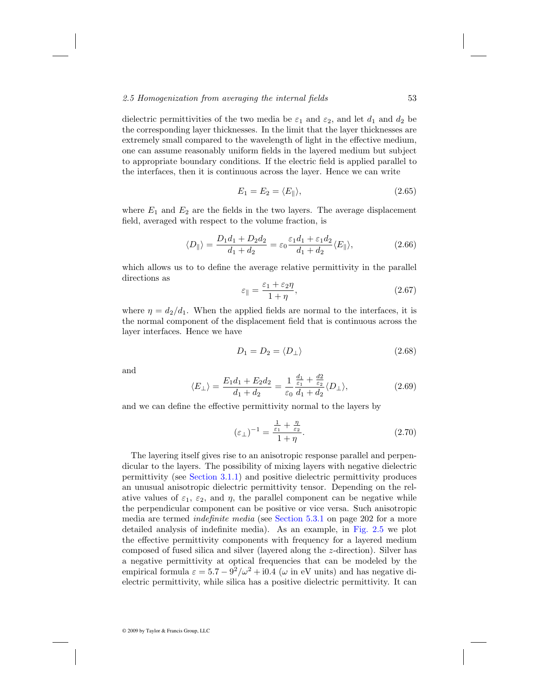dielectric permittivities of the two media be  $\varepsilon_1$  and  $\varepsilon_2$ , and let  $d_1$  and  $d_2$  be the corresponding layer thicknesses. In the limit that the layer thicknesses are extremely small compared to the wavelength of light in the effective medium, one can assume reasonably uniform fields in the layered medium but subject to appropriate boundary conditions. If the electric field is applied parallel to the interfaces, then it is continuous across the layer. Hence we can write

$$
E_1 = E_2 = \langle E_{\parallel} \rangle, \tag{2.65}
$$

where  $E_1$  and  $E_2$  are the fields in the two layers. The average displacement field, averaged with respect to the volume fraction, is

$$
\langle D_{\parallel} \rangle = \frac{D_1 d_1 + D_2 d_2}{d_1 + d_2} = \varepsilon_0 \frac{\varepsilon_1 d_1 + \varepsilon_1 d_2}{d_1 + d_2} \langle E_{\parallel} \rangle, \tag{2.66}
$$

which allows us to to define the average relative permittivity in the parallel directions as

$$
\varepsilon_{\parallel} = \frac{\varepsilon_1 + \varepsilon_2 \eta}{1 + \eta},\tag{2.67}
$$

where  $\eta = d_2/d_1$ . When the applied fields are normal to the interfaces, it is the normal component of the displacement field that is continuous across the layer interfaces. Hence we have

$$
D_1 = D_2 = \langle D_\perp \rangle \tag{2.68}
$$

and

$$
\langle E_{\perp} \rangle = \frac{E_1 d_1 + E_2 d_2}{d_1 + d_2} = \frac{1}{\varepsilon_0} \frac{\frac{d_1}{\varepsilon_1} + \frac{d_2}{\varepsilon_2}}{d_1 + d_2} \langle D_{\perp} \rangle, \tag{2.69}
$$

and we can define the effective permittivity normal to the layers by

$$
(\varepsilon_{\perp})^{-1} = \frac{\frac{1}{\varepsilon_1} + \frac{\eta}{\varepsilon_2}}{1 + \eta}.
$$
\n(2.70)

The layering itself gives rise to an anisotropic response parallel and perpendicular to the layers. The possibility of mixing layers with negative dielectric permittivity (see [Section 3.1.1](#page-2-0)) and positive dielectric permittivity produces an unusual anisotropic dielectric permittivity tensor. Depending on the relative values of  $\varepsilon_1$ ,  $\varepsilon_2$ , and  $\eta$ , the parallel component can be negative while the perpendicular component can be positive or vice versa. Such anisotropic media are termed *indefinite media* (see [Section 5.3.1](#page-27-0) on page 202 for a more detailed analysis of indefinite media). As an example, in [Fig. 2.5](#page-25-0) we plot the effective permittivity components with frequency for a layered medium composed of fused silica and silver (layered along the z-direction). Silver has a negative permittivity at optical frequencies that can be modeled by the empirical formula  $\varepsilon = 5.7 - 9^2/\omega^2 + 10.4$  ( $\omega$  in eV units) and has negative dielectric permittivity, while silica has a positive dielectric permittivity. It can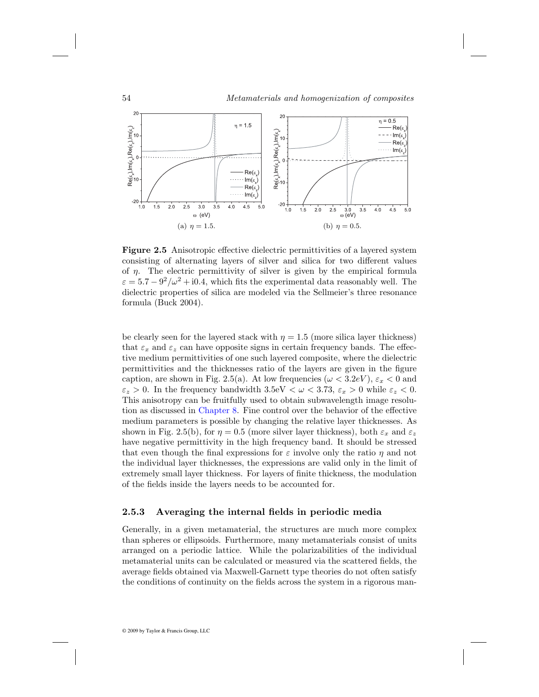<span id="page-25-0"></span>

**Figure 2.5** Anisotropic effective dielectric permittivities of a layered system consisting of alternating layers of silver and silica for two different values of  $\eta$ . The electric permittivity of silver is given by the empirical formula  $\varepsilon = 5.7 - 9^2/\omega^2 + 10.4$ , which fits the experimental data reasonably well. The dielectric properties of silica are modeled via the Sellmeier's three resonance formula (Buck 2004).

be clearly seen for the layered stack with  $\eta = 1.5$  (more silica layer thickness) that  $\varepsilon_x$  and  $\varepsilon_z$  can have opposite signs in certain frequency bands. The effective medium permittivities of one such layered composite, where the dielectric permittivities and the thicknesses ratio of the layers are given in the figure caption, are shown in Fig. 2.5(a). At low frequencies  $(\omega < 3.2 eV)$ ,  $\varepsilon_x < 0$  and  $\varepsilon_z > 0$ . In the frequency bandwidth  $3.5 \text{eV} < \omega < 3.73$ ,  $\varepsilon_x > 0$  while  $\varepsilon_z < 0$ . This anisotropy can be fruitfully used to obtain subwavelength image resolution as discussed in Chapter 8. Fine control over the behavior of the effective medium parameters is possible by changing the relative layer thicknesses. As shown in Fig. 2.5(b), for  $\eta = 0.5$  (more silver layer thickness), both  $\varepsilon_x$  and  $\varepsilon_z$ have negative permittivity in the high frequency band. It should be stressed that even though the final expressions for  $\varepsilon$  involve only the ratio  $\eta$  and not the individual layer thicknesses, the expressions are valid only in the limit of extremely small layer thickness. For layers of finite thickness, the modulation of the fields inside the layers needs to be accounted for.

#### **2.5.3 Averaging the internal fields in periodic media**

Generally, in a given metamaterial, the structures are much more complex than spheres or ellipsoids. Furthermore, many metamaterials consist of units arranged on a periodic lattice. While the polarizabilities of the individual metamaterial units can be calculated or measured via the scattered fields, the average fields obtained via Maxwell-Garnett type theories do not often satisfy the conditions of continuity on the fields across the system in a rigorous man-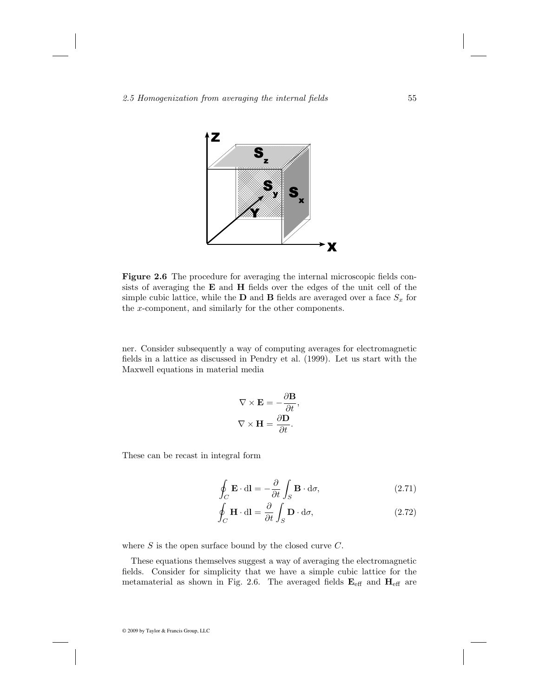

**Figure 2.6** The procedure for averaging the internal microscopic fields consists of averaging the **E** and **H** fields over the edges of the unit cell of the simple cubic lattice, while the **D** and **B** fields are averaged over a face  $S_x$  for the x-component, and similarly for the other components.

ner. Consider subsequently a way of computing averages for electromagnetic fields in a lattice as discussed in Pendry et al. (1999). Let us start with the Maxwell equations in material media

$$
\nabla \times \mathbf{E} = -\frac{\partial \mathbf{B}}{\partial t},
$$

$$
\nabla \times \mathbf{H} = \frac{\partial \mathbf{D}}{\partial t}.
$$

These can be recast in integral form

$$
\oint_C \mathbf{E} \cdot d\mathbf{l} = -\frac{\partial}{\partial t} \int_S \mathbf{B} \cdot d\sigma,\tag{2.71}
$$

$$
\oint_C \mathbf{H} \cdot d\mathbf{l} = \frac{\partial}{\partial t} \int_S \mathbf{D} \cdot d\sigma,\tag{2.72}
$$

where  $S$  is the open surface bound by the closed curve  $C$ .

These equations themselves suggest a way of averaging the electromagnetic fields. Consider for simplicity that we have a simple cubic lattice for the metamaterial as shown in Fig. 2.6. The averaged fields **E**eff and **H**eff are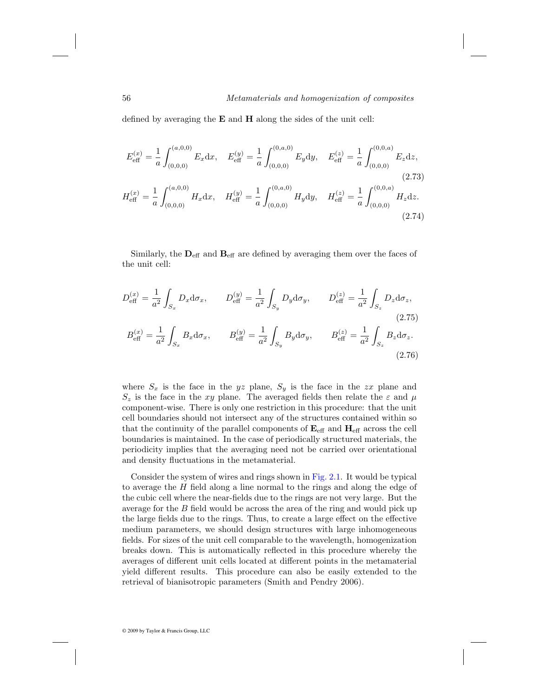<span id="page-27-0"></span>defined by averaging the **E** and **H** along the sides of the unit cell:

$$
E_{\text{eff}}^{(x)} = \frac{1}{a} \int_{(0,0,0)}^{(a,0,0)} E_x \, dx, \quad E_{\text{eff}}^{(y)} = \frac{1}{a} \int_{(0,0,0)}^{(0,a,0)} E_y \, dy, \quad E_{\text{eff}}^{(z)} = \frac{1}{a} \int_{(0,0,0)}^{(0,0,a)} E_z \, dz,
$$
\n
$$
H_{\text{eff}}^{(x)} = \frac{1}{a} \int_{(0,0,0)}^{(a,0,0)} H_x \, dx, \quad H_{\text{eff}}^{(y)} = \frac{1}{a} \int_{(0,0,0)}^{(0,a,0)} H_y \, dy, \quad H_{\text{eff}}^{(z)} = \frac{1}{a} \int_{(0,0,0)}^{(0,0,a)} H_z \, dz.
$$
\n
$$
(2.74)
$$

Similarly, the  $D_{\text{eff}}$  and  $B_{\text{eff}}$  are defined by averaging them over the faces of the unit cell:

$$
D_{\text{eff}}^{(x)} = \frac{1}{a^2} \int_{S_x} D_x \text{d}\sigma_x, \qquad D_{\text{eff}}^{(y)} = \frac{1}{a^2} \int_{S_y} D_y \text{d}\sigma_y, \qquad D_{\text{eff}}^{(z)} = \frac{1}{a^2} \int_{S_z} D_z \text{d}\sigma_z,
$$
\n
$$
B_{\text{eff}}^{(x)} = \frac{1}{a^2} \int_{S_x} B_x \text{d}\sigma_x, \qquad B_{\text{eff}}^{(y)} = \frac{1}{a^2} \int_{S_y} B_y \text{d}\sigma_y, \qquad B_{\text{eff}}^{(z)} = \frac{1}{a^2} \int_{S_z} B_z \text{d}\sigma_z.
$$
\n
$$
(2.75)
$$
\n
$$
(2.76)
$$

where  $S_x$  is the face in the yz plane,  $S_y$  is the face in the zx plane and  $S_z$  is the face in the xy plane. The averaged fields then relate the  $\varepsilon$  and  $\mu$ component-wise. There is only one restriction in this procedure: that the unit cell boundaries should not intersect any of the structures contained within so that the continuity of the parallel components of **E**eff and **H**eff across the cell boundaries is maintained. In the case of periodically structured materials, the periodicity implies that the averaging need not be carried over orientational and density fluctuations in the metamaterial.

Consider the system of wires and rings shown in [Fig. 2.1](#page-7-0). It would be typical to average the H field along a line normal to the rings and along the edge of the cubic cell where the near-fields due to the rings are not very large. But the average for the  $B$  field would be across the area of the ring and would pick up the large fields due to the rings. Thus, to create a large effect on the effective medium parameters, we should design structures with large inhomogeneous fields. For sizes of the unit cell comparable to the wavelength, homogenization breaks down. This is automatically reflected in this procedure whereby the averages of different unit cells located at different points in the metamaterial yield different results. This procedure can also be easily extended to the retrieval of bianisotropic parameters (Smith and Pendry 2006).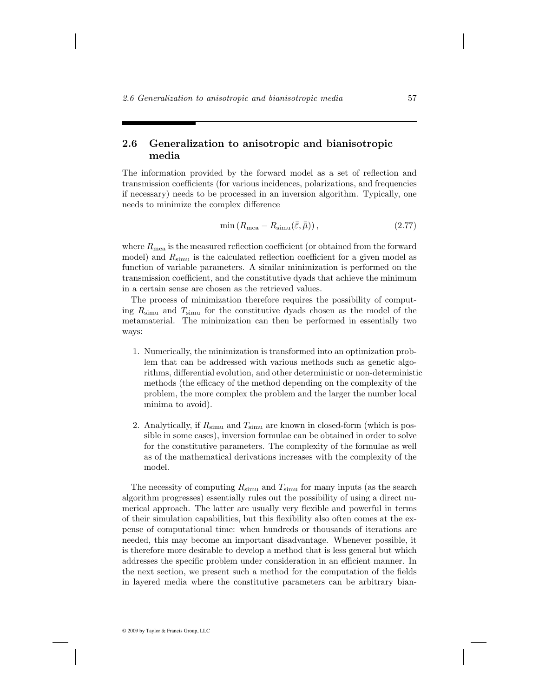## **2.6 Generalization to anisotropic and bianisotropic media**

The information provided by the forward model as a set of reflection and transmission coefficients (for various incidences, polarizations, and frequencies if necessary) needs to be processed in an inversion algorithm. Typically, one needs to minimize the complex difference

$$
\min\left(R_{\text{mea}} - R_{\text{simu}}(\bar{\bar{\varepsilon}}, \bar{\bar{\mu}})\right),\tag{2.77}
$$

where  $R_{\text{mea}}$  is the measured reflection coefficient (or obtained from the forward model) and  $R_{\text{simu}}$  is the calculated reflection coefficient for a given model as function of variable parameters. A similar minimization is performed on the transmission coefficient, and the constitutive dyads that achieve the minimum in a certain sense are chosen as the retrieved values.

The process of minimization therefore requires the possibility of computing  $R_{simu}$  and  $T_{simu}$  for the constitutive dyads chosen as the model of the metamaterial. The minimization can then be performed in essentially two ways:

- 1. Numerically, the minimization is transformed into an optimization problem that can be addressed with various methods such as genetic algorithms, differential evolution, and other deterministic or non-deterministic methods (the efficacy of the method depending on the complexity of the problem, the more complex the problem and the larger the number local minima to avoid).
- 2. Analytically, if  $R_{\text{simu}}$  and  $T_{\text{simu}}$  are known in closed-form (which is possible in some cases), inversion formulae can be obtained in order to solve for the constitutive parameters. The complexity of the formulae as well as of the mathematical derivations increases with the complexity of the model.

The necessity of computing  $R_{simu}$  and  $T_{simu}$  for many inputs (as the search algorithm progresses) essentially rules out the possibility of using a direct numerical approach. The latter are usually very flexible and powerful in terms of their simulation capabilities, but this flexibility also often comes at the expense of computational time: when hundreds or thousands of iterations are needed, this may become an important disadvantage. Whenever possible, it is therefore more desirable to develop a method that is less general but which addresses the specific problem under consideration in an efficient manner. In the next section, we present such a method for the computation of the fields in layered media where the constitutive parameters can be arbitrary bian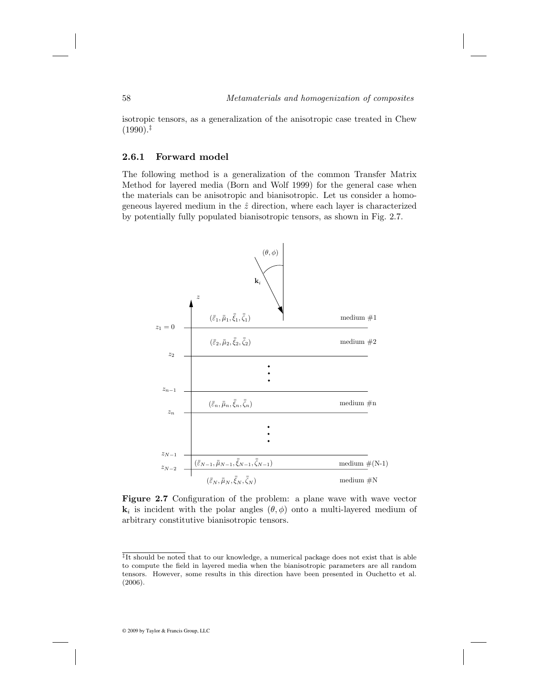isotropic tensors, as a generalization of the anisotropic case treated in Chew  $(1990)^{\ddagger}$ 

### **2.6.1 Forward model**

The following method is a generalization of the common Transfer Matrix Method for layered media (Born and Wolf 1999) for the general case when the materials can be anisotropic and bianisotropic. Let us consider a homogeneous layered medium in the  $\hat{z}$  direction, where each layer is characterized by potentially fully populated bianisotropic tensors, as shown in Fig. 2.7.



**Figure 2.7** Configuration of the problem: a plane wave with wave vector **k**<sub>i</sub> is incident with the polar angles  $(\theta, \phi)$  onto a multi-layered medium of arbitrary constitutive bianisotropic tensors.

<sup>‡</sup>It should be noted that to our knowledge, a numerical package does not exist that is able to compute the field in layered media when the bianisotropic parameters are all random tensors. However, some results in this direction have been presented in Ouchetto et al. (2006).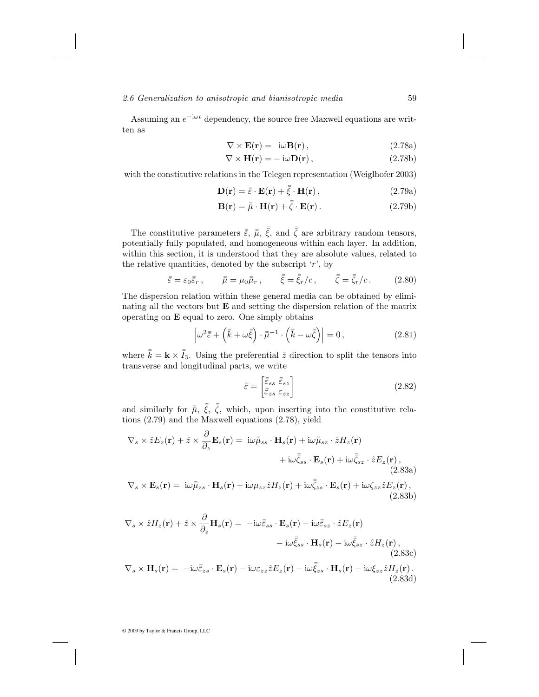Assuming an  $e^{-i\omega t}$  dependency, the source free Maxwell equations are written as

$$
\nabla \times \mathbf{E}(\mathbf{r}) = \mathbf{i}\omega \mathbf{B}(\mathbf{r}), \qquad (2.78a)
$$

$$
\nabla \times \mathbf{H}(\mathbf{r}) = -\mathrm{i}\omega \mathbf{D}(\mathbf{r}),\tag{2.78b}
$$

with the constitutive relations in the Telegen representation (Weiglhofer 2003)

$$
\mathbf{D}(\mathbf{r}) = \bar{\bar{\varepsilon}} \cdot \mathbf{E}(\mathbf{r}) + \bar{\bar{\xi}} \cdot \mathbf{H}(\mathbf{r}), \qquad (2.79a)
$$

$$
\mathbf{B}(\mathbf{r}) = \bar{\bar{\mu}} \cdot \mathbf{H}(\mathbf{r}) + \bar{\bar{\zeta}} \cdot \mathbf{E}(\mathbf{r}). \qquad (2.79b)
$$

The constitutive parameters  $\bar{\bar{\varepsilon}}$ ,  $\bar{\bar{\mu}}$ ,  $\bar{\bar{\xi}}$ , and  $\bar{\bar{\zeta}}$  are arbitrary random tensors, potentially fully populated, and homogeneous within each layer. In addition, within this section, it is understood that they are absolute values, related to the relative quantities, denoted by the subscript  $\hat{r}$ , by

$$
\bar{\bar{\varepsilon}} = \varepsilon_0 \bar{\bar{\varepsilon}}_r, \qquad \bar{\bar{\mu}} = \mu_0 \bar{\bar{\mu}}_r, \qquad \bar{\bar{\xi}} = \bar{\bar{\xi}}_r/c, \qquad \bar{\bar{\zeta}} = \bar{\bar{\zeta}}_r/c. \tag{2.80}
$$

The dispersion relation within these general media can be obtained by eliminating all the vectors but **E** and setting the dispersion relation of the matrix operating on **E** equal to zero. One simply obtains

$$
\left|\omega^2\bar{\bar{\varepsilon}} + \left(\bar{\bar{k}} + \omega\bar{\bar{\xi}}\right)\cdot\bar{\bar{\mu}}^{-1}\cdot\left(\bar{\bar{k}} - \omega\bar{\bar{\zeta}}\right)\right| = 0,\tag{2.81}
$$

where  $\bar{\bar{k}} = \mathbf{k} \times \bar{\bar{I}}_3$ . Using the preferential  $\hat{z}$  direction to split the tensors into transverse and longitudinal parts, we write

$$
\bar{\bar{\varepsilon}} = \begin{bmatrix} \bar{\bar{\varepsilon}}_{ss} & \bar{\bar{\varepsilon}}_{sz} \\ \bar{\bar{\varepsilon}}_{zs} & \bar{\varepsilon}_{zz} \end{bmatrix}
$$
(2.82)

and similarly for  $\bar{\bar{\mu}}, \bar{\bar{\xi}}, \bar{\bar{\zeta}},$  which, upon inserting into the constitutive relations (2.79) and the Maxwell equations (2.78), yield

$$
\nabla_s \times \hat{z} E_z(\mathbf{r}) + \hat{z} \times \frac{\partial}{\partial_z} \mathbf{E}_s(\mathbf{r}) = i\omega \bar{\bar{\mu}}_{ss} \cdot \mathbf{H}_s(\mathbf{r}) + i\omega \bar{\bar{\mu}}_{sz} \cdot \hat{z} H_z(\mathbf{r}) + i\omega \bar{\bar{\zeta}}_{ss} \cdot \mathbf{E}_s(\mathbf{r}) + i\omega \bar{\bar{\zeta}}_{sz} \cdot \hat{z} E_z(\mathbf{r}),
$$
\n(2.83a)  
\n
$$
\nabla_z \times \mathbf{F}_s(\mathbf{r}) = i\omega \bar{\bar{z}} - \mathbf{H}_s(\mathbf{r}) + i\omega \omega \hat{z} H_s(\mathbf{r}) + i\omega \bar{\bar{\zeta}} - \mathbf{F}_s(\mathbf{r}) + i\omega \hat{\zeta} \hat{z} F_s(\mathbf{r})
$$

$$
\nabla_s \times \mathbf{E}_s(\mathbf{r}) = i\omega \bar{\bar{\mu}}_{zs} \cdot \mathbf{H}_s(\mathbf{r}) + i\omega \mu_{zz} \hat{z} H_z(\mathbf{r}) + i\omega \bar{\zeta}_{zs} \cdot \mathbf{E}_s(\mathbf{r}) + i\omega \zeta_{zz} \hat{z} E_z(\mathbf{r}),
$$
\n(2.83b)

$$
\nabla_s \times \hat{z} H_z(\mathbf{r}) + \hat{z} \times \frac{\partial}{\partial_z} \mathbf{H}_s(\mathbf{r}) = -i\omega \bar{\bar{\varepsilon}}_{ss} \cdot \mathbf{E}_s(\mathbf{r}) - i\omega \bar{\bar{\varepsilon}}_{sz} \cdot \hat{z} E_z(\mathbf{r}) \n- i\omega \bar{\bar{\zeta}}_{ss} \cdot \mathbf{H}_s(\mathbf{r}) - i\omega \bar{\bar{\zeta}}_{sz} \cdot \hat{z} H_z(\mathbf{r}),
$$
\n(2.83c)\n
$$
\nabla \times \mathbf{H}_s(\mathbf{r}) = -i\omega \bar{\bar{\varepsilon}} - \mathbf{F}_s(\mathbf{r}) - i\omega \bar{\varepsilon} - \hat{\varepsilon} F_s(\mathbf{r}) - i\omega \bar{\bar{\varepsilon}} - \mathbf{H}_s(\mathbf{r}) - i\omega \bar{\varepsilon} - \hat{\varepsilon} H_s(\mathbf{r})
$$

 $\nabla_s \times \mathbf{H}_s(\mathbf{r}) = \ -\mathrm{i}\omega \bar{\bar{\varepsilon}}_{zs} \cdot \mathbf{E}_s(\mathbf{r}) - \mathrm{i}\omega \varepsilon_{zz} \hat{z} E_z(\mathbf{r}) - \mathrm{i}\omega \bar{\bar{\zeta}}_{zs} \cdot \mathbf{H}_s(\mathbf{r}) - \mathrm{i}\omega \xi_{zz} \hat{z} H_z(\mathbf{r}) \, .$ (2.83d)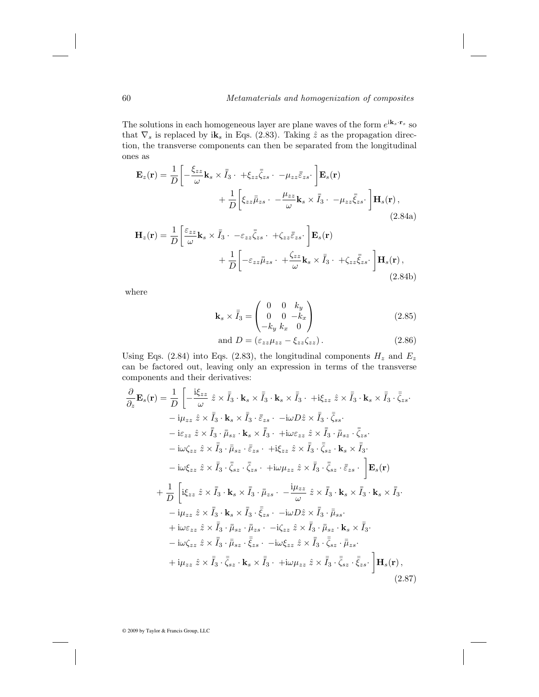The solutions in each homogeneous layer are plane waves of the form  $e^{i\mathbf{k}_s \cdot \mathbf{r}_s}$  so that  $\nabla_s$  is replaced by i**k**<sub>s</sub> in Eqs. (2.83). Taking  $\hat{z}$  as the propagation direction, the transverse components can then be separated from the longitudinal ones as

$$
\mathbf{E}_{z}(\mathbf{r}) = \frac{1}{D} \left[ -\frac{\xi_{zz}}{\omega} \mathbf{k}_{s} \times \bar{\bar{I}}_{3} \cdot + \xi_{zz} \bar{\xi}_{zs} \cdot -\mu_{zz} \bar{\bar{\varepsilon}}_{zs} \cdot \right] \mathbf{E}_{s}(\mathbf{r}) + \frac{1}{D} \left[ \xi_{zz} \bar{\bar{\mu}}_{zs} \cdot -\frac{\mu_{zz}}{\omega} \mathbf{k}_{s} \times \bar{\bar{I}}_{3} \cdot -\mu_{zz} \bar{\xi}_{zs} \cdot \right] \mathbf{H}_{s}(\mathbf{r}),
$$
\n(2.84a)

$$
\mathbf{H}_{z}(\mathbf{r}) = \frac{1}{D} \left[ \frac{\varepsilon_{zz}}{\omega} \mathbf{k}_{s} \times \bar{\bar{I}}_{3} \cdot -\varepsilon_{zz} \bar{\bar{\zeta}}_{zs} \cdot + \zeta_{zz} \bar{\bar{\varepsilon}}_{zs} \cdot \right] \mathbf{E}_{s}(\mathbf{r}) + \frac{1}{D} \left[ -\varepsilon_{zz} \bar{\mu}_{zs} \cdot + \frac{\zeta_{zz}}{\omega} \mathbf{k}_{s} \times \bar{\bar{I}}_{3} \cdot + \zeta_{zz} \bar{\bar{\zeta}}_{zs} \cdot \right] \mathbf{H}_{s}(\mathbf{r}), \tag{2.84b}
$$

where

$$
\mathbf{k}_s \times \bar{I}_3 = \begin{pmatrix} 0 & 0 & k_y \\ 0 & 0 & -k_x \\ -k_y & k_x & 0 \end{pmatrix}
$$
 (2.85)

and 
$$
D = (\varepsilon_{zz} \mu_{zz} - \xi_{zz} \zeta_{zz}).
$$
 (2.86)

Using Eqs. (2.84) into Eqs. (2.83), the longitudinal components  $H_z$  and  $E_z$ can be factored out, leaving only an expression in terms of the transverse components and their derivatives:

$$
\frac{\partial}{\partial z}\mathbf{E}_{s}(\mathbf{r}) = \frac{1}{D} \left[ -\frac{i\xi_{zz}}{\omega} \hat{z} \times \bar{\bar{I}}_{3} \cdot \mathbf{k}_{s} \times \bar{\bar{I}}_{3} \cdot \mathbf{k}_{s} \times \bar{\bar{I}}_{3} \cdot +i\xi_{zz} \hat{z} \times \bar{\bar{I}}_{3} \cdot \mathbf{k}_{s} \times \bar{\bar{I}}_{3} \cdot \bar{\zeta}_{zs} \cdot -i\mu_{zz} \hat{z} \times \bar{\bar{I}}_{3} \cdot \bar{\mathbf{k}}_{s} \times \bar{\bar{I}}_{3} \cdot \bar{\bar{\zeta}}_{zs} \cdot -i\omega D\hat{z} \times \bar{\bar{I}}_{3} \cdot \bar{\bar{\zeta}}_{ss} \cdot -i\omega D\hat{z} \times \bar{\bar{I}}_{3} \cdot \bar{\bar{\zeta}}_{ss} \cdot -i\omega D\hat{z} \times \bar{\bar{I}}_{3} \cdot \bar{\bar{\zeta}}_{ss} \cdot -i\omega \zeta_{zz} \hat{z} \times \bar{\bar{I}}_{3} \cdot \bar{\bar{\mu}}_{sz} \cdot \mathbf{k}_{s} \times \bar{\bar{I}}_{3} \cdot +i\omega \varepsilon_{zz} \hat{z} \times \bar{\bar{I}}_{3} \cdot \bar{\bar{\mu}}_{sz} \cdot \bar{\zeta}_{zs} \cdot -i\omega \zeta_{zz} \hat{z} \times \bar{\bar{I}}_{3} \cdot \bar{\bar{\zeta}}_{sz} \cdot \bar{\bar{\zeta}}_{zs} \cdot +i\xi_{zz} \hat{z} \times \bar{\bar{I}}_{3} \cdot \bar{\bar{\zeta}}_{sz} \cdot \mathbf{k}_{s} \times \bar{\bar{I}}_{3} \cdot \bar{\bar{\zeta}}_{sz} \cdot \bar{\bar{\zeta}}_{zs} \cdot \frac{1}{\bar{I}} \cdot \bar{\zeta}_{sz} \cdot \bar{\zeta}_{zs} \cdot -i\omega \zeta_{zz} \hat{z} \times \bar{\bar{I}}_{3} \cdot \bar{\bar{\zeta}}_{sz} \cdot \bar{\bar{\zeta}}_{zs} \cdot \frac{1}{\omega} \mathbf{E}_{s}(\mathbf{r}) \right. \\ \left. + \frac{1}{D} \left[ i\xi_{zz} \hat{z} \times \bar{\bar{I}}_{3} \cdot \mathbf{k}_{s} \times \bar{\bar{I}}
$$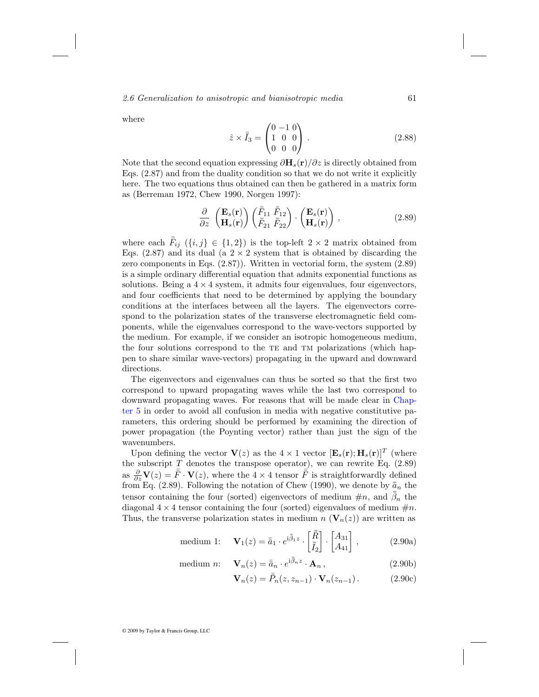where

$$
\hat{z} \times \bar{I}_3 = \begin{pmatrix} 0 & -1 & 0 \\ 1 & 0 & 0 \\ 0 & 0 & 0 \end{pmatrix} . \tag{2.88}
$$

Note that the second equation expressing  $\partial \mathbf{H}_s(\mathbf{r})/\partial z$  is directly obtained from Eqs. (2.87) and from the duality condition so that we do not write it explicitly here. The two equations thus obtained can then be gathered in a matrix form as (Berreman 1972, Chew 1990, Norgen 1997):

$$
\frac{\partial}{\partial z} \left( \mathbf{E}_s(\mathbf{r}) \right) \left( \bar{\bar{F}}_{11} \bar{\bar{F}}_{12} \right) \cdot \left( \mathbf{E}_s(\mathbf{r}) \right) ,\tag{2.89}
$$

where each  $\bar{F}_{ij}$   $(\{i, j\} \in \{1, 2\})$  is the top-left  $2 \times 2$  matrix obtained from Eqs. (2.87) and its dual (a  $2 \times 2$  system that is obtained by discarding the zero components in Eqs. (2.87)). Written in vectorial form, the system (2.89) is a simple ordinary differential equation that admits exponential functions as solutions. Being a  $4 \times 4$  system, it admits four eigenvalues, four eigenvectors, and four coefficients that need to be determined by applying the boundary conditions at the interfaces between all the layers. The eigenvectors correspond to the polarization states of the transverse electromagnetic field components, while the eigenvalues correspond to the wave-vectors supported by the medium. For example, if we consider an isotropic homogeneous medium, the four solutions correspond to the TE and TM polarizations (which happen to share similar wave-vectors) propagating in the upward and downward directions.

The eigenvectors and eigenvalues can thus be sorted so that the first two correspond to upward propagating waves while the last two correspond to downward propagating waves. For reasons that will be made clear in Chapter 5 in order to avoid all confusion in media with negative constitutive parameters, this ordering should be performed by examining the direction of power propagation (the Poynting vector) rather than just the sign of the wavenumbers.

Upon defining the vector  $\mathbf{V}(z)$  as the  $4 \times 1$  vector  $[\mathbf{E}_s(\mathbf{r}); \mathbf{H}_s(\mathbf{r})]^T$  (where the subscript  $T$  denotes the transpose operator), we can rewrite Eq.  $(2.89)$ as  $\frac{\partial}{\partial z}$ **V**(*z*) =  $\bar{F} \cdot$  **V**(*z*), where the 4 × 4 tensor  $\bar{F}$  is straightforwardly defined from Eq. (2.89). Following the notation of Chew (1990), we denote by  $\bar{a}_n$  the tensor containing the four (sorted) eigenvectors of medium  $\#n$ , and  $\bar{\bar{\beta}}_n$  the diagonal  $4 \times 4$  tensor containing the four (sorted) eigenvalues of medium  $\#n$ . Thus, the transverse polarization states in medium  $n(\mathbf{V}_n(z))$  are written as

$$
\text{medium 1:} \quad \mathbf{V}_1(z) = \bar{\bar{a}}_1 \cdot e^{i\bar{\bar{\beta}}_1 z} \cdot \begin{bmatrix} \bar{\bar{R}} \\ \bar{\bar{I}}_2 \end{bmatrix} \cdot \begin{bmatrix} A_{31} \\ A_{41} \end{bmatrix}, \tag{2.90a}
$$

$$
\text{medium } n: \quad \mathbf{V}_n(z) = \bar{\bar{a}}_n \cdot e^{i\bar{\bar{\beta}}_n z} \cdot \mathbf{A}_n, \tag{2.90b}
$$

$$
\mathbf{V}_n(z) = \bar{\bar{P}}_n(z, z_{n-1}) \cdot \mathbf{V}_n(z_{n-1}). \tag{2.90c}
$$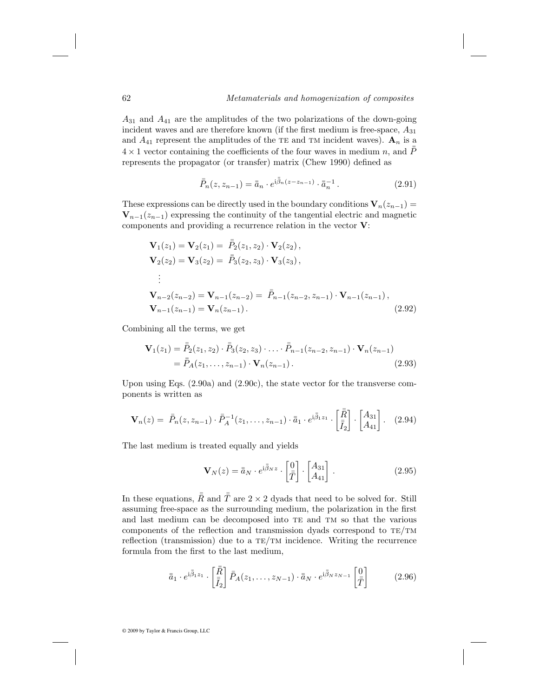$A_{31}$  and  $A_{41}$  are the amplitudes of the two polarizations of the down-going incident waves and are therefore known (if the first medium is free-space,  $A_{31}$ ) and  $A_{41}$  represent the amplitudes of the TE and TM incident waves).  $A_n$  is a  $4 \times 1$  vector containing the coefficients of the four waves in medium n, and  $\bar{\bar{P}}$ represents the propagator (or transfer) matrix (Chew 1990) defined as

$$
\bar{\bar{P}}_n(z, z_{n-1}) = \bar{\bar{a}}_n \cdot e^{i\bar{\bar{\beta}}_n(z - z_{n-1})} \cdot \bar{\bar{a}}_n^{-1}.
$$
\n(2.91)

These expressions can be directly used in the boundary conditions  $V_n(z_{n-1}) =$  **expressing the continuity of the tangential electric and magnetic** components and providing a recurrence relation in the vector **V**:

$$
\mathbf{V}_{1}(z_{1}) = \mathbf{V}_{2}(z_{1}) = \bar{P}_{2}(z_{1}, z_{2}) \cdot \mathbf{V}_{2}(z_{2}),
$$
\n
$$
\mathbf{V}_{2}(z_{2}) = \mathbf{V}_{3}(z_{2}) = \bar{P}_{3}(z_{2}, z_{3}) \cdot \mathbf{V}_{3}(z_{3}),
$$
\n
$$
\vdots
$$
\n
$$
\mathbf{V}_{n-2}(z_{n-2}) = \mathbf{V}_{n-1}(z_{n-2}) = \bar{P}_{n-1}(z_{n-2}, z_{n-1}) \cdot \mathbf{V}_{n-1}(z_{n-1}),
$$
\n
$$
\mathbf{V}_{n-1}(z_{n-1}) = \mathbf{V}_{n}(z_{n-1}).
$$
\n(2.92)

Combining all the terms, we get

$$
\mathbf{V}_{1}(z_{1}) = \bar{P}_{2}(z_{1}, z_{2}) \cdot \bar{P}_{3}(z_{2}, z_{3}) \cdot \ldots \cdot \bar{P}_{n-1}(z_{n-2}, z_{n-1}) \cdot \mathbf{V}_{n}(z_{n-1})
$$
  
=  $\bar{P}_{A}(z_{1}, \ldots, z_{n-1}) \cdot \mathbf{V}_{n}(z_{n-1}).$  (2.93)

Upon using Eqs. (2.90a) and (2.90c), the state vector for the transverse components is written as

$$
\mathbf{V}_n(z) = \bar{\bar{P}}_n(z, z_{n-1}) \cdot \bar{\bar{P}}_A^{-1}(z_1, \dots, z_{n-1}) \cdot \bar{\bar{a}}_1 \cdot e^{i\bar{\bar{\beta}}_1 z_1} \cdot \begin{bmatrix} \bar{\bar{R}} \\ \bar{\bar{I}}_2 \end{bmatrix} \cdot \begin{bmatrix} A_{31} \\ A_{41} \end{bmatrix} .
$$
 (2.94)

The last medium is treated equally and yields

$$
\mathbf{V}_N(z) = \bar{\bar{a}}_N \cdot e^{i\bar{\bar{\beta}}_N z} \cdot \begin{bmatrix} 0\\ \bar{T} \end{bmatrix} \cdot \begin{bmatrix} A_{31} \\ A_{41} \end{bmatrix} . \tag{2.95}
$$

In these equations,  $\bar{\bar{R}}$  and  $\bar{\bar{T}}$  are  $2 \times 2$  dyads that need to be solved for. Still assuming free-space as the surrounding medium, the polarization in the first and last medium can be decomposed into TE and TM so that the various components of the reflection and transmission dyads correspond to  $TE/TM$ reflection (transmission) due to a  $TE/TM$  incidence. Writing the recurrence formula from the first to the last medium,

$$
\bar{\bar{a}}_1 \cdot e^{i\bar{\bar{\beta}}_1 z_1} \cdot \begin{bmatrix} \bar{\bar{R}} \\ \bar{\bar{I}}_2 \end{bmatrix} \bar{P}_A(z_1, \dots, z_{N-1}) \cdot \bar{\bar{a}}_N \cdot e^{i\bar{\bar{\beta}}_N z_{N-1}} \begin{bmatrix} 0 \\ \bar{\bar{T}} \end{bmatrix}
$$
 (2.96)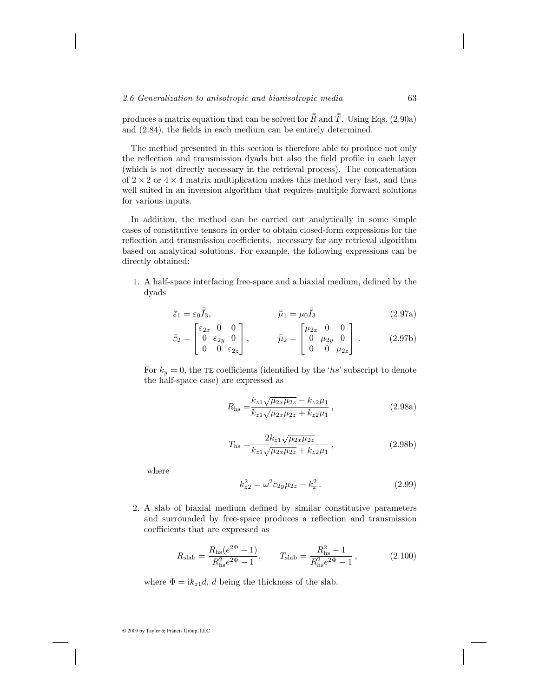produces a matrix equation that can be solved for  $\bar{\bar{R}}$  and  $\bar{\bar{T}}$ . Using Eqs. (2.90a) and (2.84), the fields in each medium can be entirely determined.

The method presented in this section is therefore able to produce not only the reflection and transmission dyads but also the field profile in each layer (which is not directly necessary in the retrieval process). The concatenation of  $2 \times 2$  or  $4 \times 4$  matrix multiplication makes this method very fast, and thus well suited in an inversion algorithm that requires multiple forward solutions for various inputs.

In addition, the method can be carried out analytically in some simple cases of constitutive tensors in order to obtain closed-form expressions for the reflection and transmission coefficients, necessary for any retrieval algorithm based on analytical solutions. For example, the following expressions can be directly obtained:

1. A half-space interfacing free-space and a biaxial medium, defined by the dyads

$$
\bar{\bar{\varepsilon}}_1 = \varepsilon_0 \bar{\bar{I}}_3, \qquad \qquad \bar{\bar{\mu}}_1 = \mu_0 \bar{\bar{I}}_3 \tag{2.97a}
$$

$$
\bar{\bar{\varepsilon}}_2 = \begin{bmatrix} \varepsilon_{2x} & 0 & 0 \\ 0 & \varepsilon_{2y} & 0 \\ 0 & 0 & \varepsilon_{2z} \end{bmatrix}, \qquad \bar{\mu}_2 = \begin{bmatrix} \mu_{2x} & 0 & 0 \\ 0 & \mu_{2y} & 0 \\ 0 & 0 & \mu_{2z} \end{bmatrix}.
$$
 (2.97b)

For  $k_y = 0$ , the TE coefficients (identified by the 'hs' subscript to denote the half-space case) are expressed as

$$
R_{\rm hs} = \frac{k_{z1}\sqrt{\mu_{2x}\mu_{2z}} - k_{z2}\mu_1}{k_{z1}\sqrt{\mu_{2x}\mu_{2z}} + k_{z2}\mu_1},\tag{2.98a}
$$

$$
T_{\text{hs}} = \frac{2k_{z1}\sqrt{\mu_{2x}\mu_{2z}}}{k_{z1}\sqrt{\mu_{2x}\mu_{2z}} + k_{z2}\mu_1},
$$
\n(2.98b)

where

$$
k_{z2}^2 = \omega^2 \varepsilon_{2y} \mu_{2z} - k_x^2. \tag{2.99}
$$

2. A slab of biaxial medium defined by similar constitutive parameters and surrounded by free-space produces a reflection and transmission coefficients that are expressed as

$$
R_{\rm slab} = \frac{R_{\rm hs}(e^{2\Phi} - 1)}{R_{\rm hs}^2 e^{2\Phi} - 1}, \qquad T_{\rm slab} = \frac{R_{\rm hs}^2 - 1}{R_{\rm hs}^2 e^{2\Phi} - 1}, \tag{2.100}
$$

where  $\Phi = ik_{z1}d$ , d being the thickness of the slab.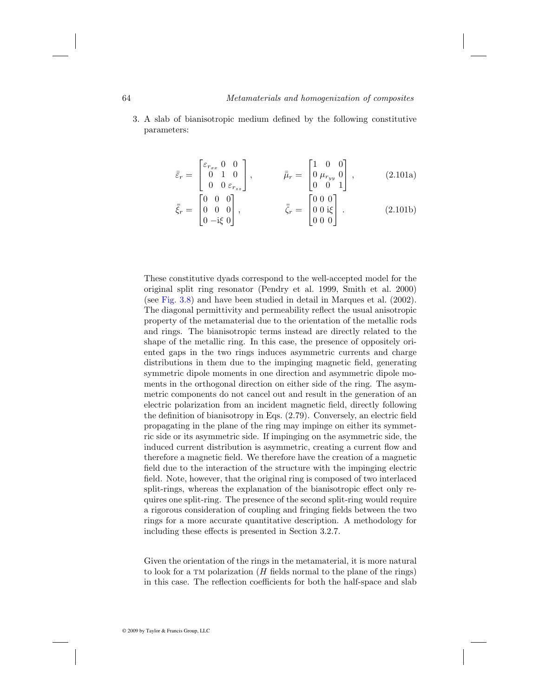3. A slab of bianisotropic medium defined by the following constitutive parameters:

$$
\bar{\bar{\varepsilon}}_{r} = \begin{bmatrix} \varepsilon_{r_{xx}} & 0 & 0 \\ 0 & 1 & 0 \\ 0 & 0 & \varepsilon_{r_{zz}} \end{bmatrix}, \qquad \bar{\bar{\mu}}_{r} = \begin{bmatrix} 1 & 0 & 0 \\ 0 & \mu_{r_{yy}} & 0 \\ 0 & 0 & 1 \end{bmatrix}, \qquad (2.101a)
$$
\n
$$
\bar{\bar{\varepsilon}}_{r} = \begin{bmatrix} 0 & 0 & 0 \\ 0 & 0 & 0 \end{bmatrix}
$$
\n
$$
\bar{\bar{\varepsilon}}_{r} = \begin{bmatrix} 0 & 0 & 0 \\ 0 & 0 & 0 \end{bmatrix} \qquad \bar{\bar{\varepsilon}}_{r} = \begin{bmatrix} 0 & 0 & 0 \\ 0 & 0 & 0 \end{bmatrix} \qquad (2.101b)
$$

$$
\bar{\xi}_r = \begin{bmatrix} 0 & 0 & 0 \\ 0 & -i\xi & 0 \end{bmatrix}, \qquad \bar{\zeta}_r = \begin{bmatrix} 0 & 0 & i\xi \\ 0 & 0 & 0 \end{bmatrix}.
$$
 (2.101b)

These constitutive dyads correspond to the well-accepted model for the original split ring resonator (Pendry et al. 1999, Smith et al. 2000) (see [Fig. 3.8](#page-22-0)) and have been studied in detail in Marques et al. (2002). The diagonal permittivity and permeability reflect the usual anisotropic property of the metamaterial due to the orientation of the metallic rods and rings. The bianisotropic terms instead are directly related to the shape of the metallic ring. In this case, the presence of oppositely oriented gaps in the two rings induces asymmetric currents and charge distributions in them due to the impinging magnetic field, generating symmetric dipole moments in one direction and asymmetric dipole moments in the orthogonal direction on either side of the ring. The asymmetric components do not cancel out and result in the generation of an electric polarization from an incident magnetic field, directly following the definition of bianisotropy in Eqs. (2.79). Conversely, an electric field propagating in the plane of the ring may impinge on either its symmetric side or its asymmetric side. If impinging on the asymmetric side, the induced current distribution is asymmetric, creating a current flow and therefore a magnetic field. We therefore have the creation of a magnetic field due to the interaction of the structure with the impinging electric field. Note, however, that the original ring is composed of two interlaced split-rings, whereas the explanation of the bianisotropic effect only requires one split-ring. The presence of the second split-ring would require a rigorous consideration of coupling and fringing fields between the two rings for a more accurate quantitative description. A methodology for including these effects is presented in Section 3.2.7.

Given the orientation of the rings in the metamaterial, it is more natural to look for a  $TM$  polarization ( $H$  fields normal to the plane of the rings) in this case. The reflection coefficients for both the half-space and slab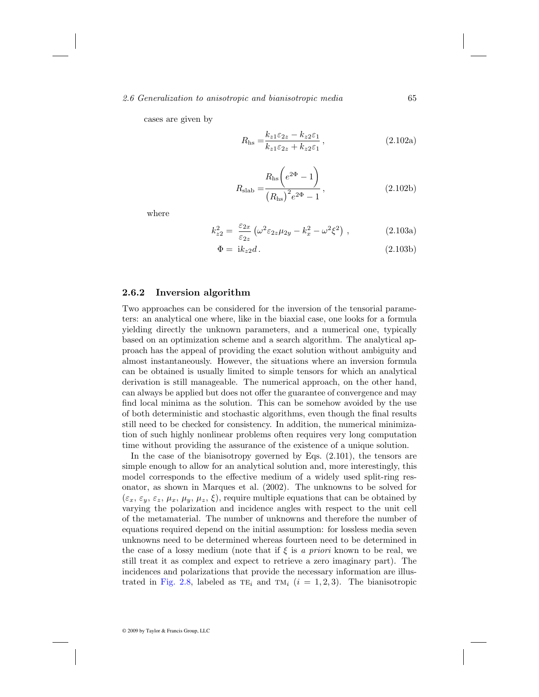#### *2.6 Generalization to anisotropic and bianisotropic media* 65

cases are given by

$$
R_{\rm hs} = \frac{k_{z1}\varepsilon_{2z} - k_{z2}\varepsilon_1}{k_{z1}\varepsilon_{2z} + k_{z2}\varepsilon_1},\tag{2.102a}
$$

$$
R_{\rm slab} = \frac{R_{\rm hs} \left(e^{2\Phi} - 1\right)}{\left(R_{\rm hs}\right)^2 e^{2\Phi} - 1},\tag{2.102b}
$$

where

$$
k_{z2}^2 = \frac{\varepsilon_{2x}}{\varepsilon_{2z}} \left( \omega^2 \varepsilon_{2z} \mu_{2y} - k_x^2 - \omega^2 \xi^2 \right) , \qquad (2.103a)
$$

$$
\Phi = i k_{z2} d. \tag{2.103b}
$$

#### **2.6.2 Inversion algorithm**

Two approaches can be considered for the inversion of the tensorial parameters: an analytical one where, like in the biaxial case, one looks for a formula yielding directly the unknown parameters, and a numerical one, typically based on an optimization scheme and a search algorithm. The analytical approach has the appeal of providing the exact solution without ambiguity and almost instantaneously. However, the situations where an inversion formula can be obtained is usually limited to simple tensors for which an analytical derivation is still manageable. The numerical approach, on the other hand, can always be applied but does not offer the guarantee of convergence and may find local minima as the solution. This can be somehow avoided by the use of both deterministic and stochastic algorithms, even though the final results still need to be checked for consistency. In addition, the numerical minimization of such highly nonlinear problems often requires very long computation time without providing the assurance of the existence of a unique solution.

In the case of the bianisotropy governed by Eqs. (2.101), the tensors are simple enough to allow for an analytical solution and, more interestingly, this model corresponds to the effective medium of a widely used split-ring resonator, as shown in Marques et al. (2002). The unknowns to be solved for  $(\varepsilon_x, \varepsilon_y, \varepsilon_z, \mu_x, \mu_y, \mu_z, \xi)$ , require multiple equations that can be obtained by varying the polarization and incidence angles with respect to the unit cell of the metamaterial. The number of unknowns and therefore the number of equations required depend on the initial assumption: for lossless media seven unknowns need to be determined whereas fourteen need to be determined in the case of a lossy medium (note that if ξ is *a priori* known to be real, we still treat it as complex and expect to retrieve a zero imaginary part). The incidences and polarizations that provide the necessary information are illus-trated in [Fig. 2.8,](#page-37-0) labeled as TE<sub>i</sub> and TM<sub>i</sub>  $(i = 1, 2, 3)$ . The bianisotropic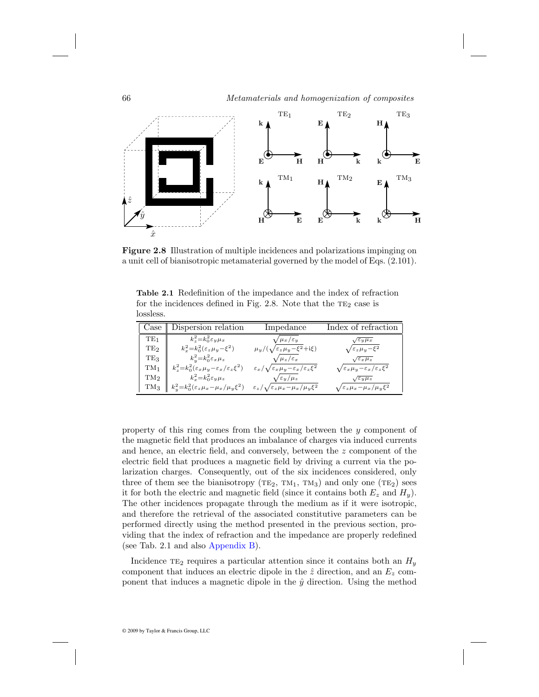<span id="page-37-0"></span>

**Figure 2.8** Illustration of multiple incidences and polarizations impinging on a unit cell of bianisotropic metamaterial governed by the model of Eqs. (2.101).

**Table 2.1** Redefinition of the impedance and the index of refraction for the incidences defined in Fig. 2.8. Note that the  $TE<sub>2</sub>$  case is lossless.

|                 | Case   Dispersion relation                                                | Impedance                                                                  | Index of refraction                                          |
|-----------------|---------------------------------------------------------------------------|----------------------------------------------------------------------------|--------------------------------------------------------------|
| TE <sub>1</sub> | $k_z^2 = k_0^2 \varepsilon_y \mu_x$                                       | $\sqrt{\mu_x/\varepsilon_y}$                                               | $\sqrt{\varepsilon_y \mu_x}$                                 |
| TE <sub>2</sub> | $k_x^2 = k_0^2 (\varepsilon_z \mu_y - \xi^2)$                             | $\mu_y/(\sqrt{\varepsilon_z\mu_y-\xi^2+i\xi})$                             | $\sqrt{\varepsilon_z \mu_y - \xi^2}$                         |
| TE <sub>3</sub> | $k_y^2 = k_0^2 \varepsilon_x \mu_z$                                       | $\sqrt{\mu_z/\varepsilon_x}$                                               | $\sqrt{\varepsilon_x \mu_z}$                                 |
| $TM_1$          | $k_z^2 = k_0^2 (\varepsilon_x \mu_y - \varepsilon_x/\varepsilon_z \xi^2)$ | $\varepsilon_x/\sqrt{\varepsilon_x\mu_y-\varepsilon_x/\varepsilon_z\xi^2}$ | $\sqrt{\varepsilon_x\mu_y-\varepsilon_x/\varepsilon_z\xi^2}$ |
| TM <sub>2</sub> | $k_x^2 = k_0^2 \varepsilon_y \mu_z$                                       | $\sqrt{\varepsilon_y/\mu_z}$                                               | $\sqrt{\varepsilon_y \mu_z}$                                 |
| $TM_3$          | $\  k_y^2 = k_0^2 (\varepsilon_z \mu_x - \mu_x / \mu_y \xi^2)$            | $\varepsilon_z/\sqrt{\varepsilon_z\mu_x-\mu_x/\mu_y\xi^2}$                 | $\sqrt{\varepsilon_z \mu_x - \mu_x / \mu_y \xi^2}$           |

property of this ring comes from the coupling between the  $y$  component of the magnetic field that produces an imbalance of charges via induced currents and hence, an electric field, and conversely, between the z component of the electric field that produces a magnetic field by driving a current via the polarization charges. Consequently, out of the six incidences considered, only three of them see the bianisotropy ( $TE_2$ ,  $TM_1$ ,  $TM_3$ ) and only one ( $TE_2$ ) sees it for both the electric and magnetic field (since it contains both  $E_z$  and  $H_y$ ). The other incidences propagate through the medium as if it were isotropic, and therefore the retrieval of the associated constitutive parameters can be performed directly using the method presented in the previous section, providing that the index of refraction and the impedance are properly redefined (see Tab. 2.1 and also Appendix B).

Incidence  $TE_2$  requires a particular attention since it contains both an  $H_y$ component that induces an electric dipole in the  $\hat{z}$  direction, and an  $E_z$  component that induces a magnetic dipole in the  $\hat{y}$  direction. Using the method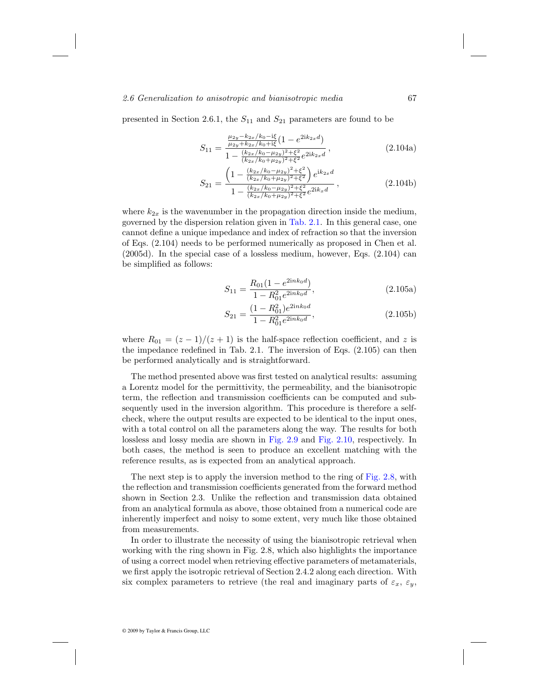presented in Section 2.6.1, the  $S_{11}$  and  $S_{21}$  parameters are found to be

$$
S_{11} = \frac{\frac{\mu_{2y} - k_{2x}/k_0 - i\xi}{\mu_{2y} + k_{2x}/k_0 + i\xi} (1 - e^{2ik_{2x}d})}{1 - \frac{(k_{2x}/k_0 - \mu_{2y})^2 + \xi^2}{(k_{2x}/k_0 + \mu_{2y})^2 + \xi^2} e^{2ik_{2x}d}},
$$
(2.104a)

$$
S_{21} = \frac{\left(1 - \frac{(k_{2x}/k_0 - \mu_{2y})^2 + \xi^2}{(k_{2x}/k_0 + \mu_{2y})^2 + \xi^2}\right) e^{ik_{2x}d}}{1 - \frac{(k_{2x}/k_0 - \mu_{2y})^2 + \xi^2}{(k_{2x}/k_0 + \mu_{2y})^2 + \xi^2} e^{2ik_xd}},
$$
\n(2.104b)

where  $k_{2x}$  is the wavenumber in the propagation direction inside the medium, governed by the dispersion relation given in [Tab. 2.1](#page-37-0). In this general case, one cannot define a unique impedance and index of refraction so that the inversion of Eqs. (2.104) needs to be performed numerically as proposed in Chen et al. (2005d). In the special case of a lossless medium, however, Eqs. (2.104) can be simplified as follows:

$$
S_{11} = \frac{R_{01}(1 - e^{2\mathrm{i}nk_0d})}{1 - R_{01}^2 e^{2\mathrm{i}nk_0d}},\tag{2.105a}
$$

$$
S_{21} = \frac{(1 - R_{01}^2)e^{2\mathrm{i}nk_0d}}{1 - R_{01}^2 e^{2\mathrm{i}nk_0d}},\tag{2.105b}
$$

where  $R_{01} = (z - 1)/(z + 1)$  is the half-space reflection coefficient, and z is the impedance redefined in Tab. 2.1. The inversion of Eqs. (2.105) can then be performed analytically and is straightforward.

The method presented above was first tested on analytical results: assuming a Lorentz model for the permittivity, the permeability, and the bianisotropic term, the reflection and transmission coefficients can be computed and subsequently used in the inversion algorithm. This procedure is therefore a selfcheck, where the output results are expected to be identical to the input ones, with a total control on all the parameters along the way. The results for both lossless and lossy media are shown in [Fig. 2.9](#page-39-0) and [Fig. 2.10](#page-43-0), respectively. In both cases, the method is seen to produce an excellent matching with the reference results, as is expected from an analytical approach.

The next step is to apply the inversion method to the ring of [Fig. 2.8](#page-37-0), with the reflection and transmission coefficients generated from the forward method shown in Section 2.3. Unlike the reflection and transmission data obtained from an analytical formula as above, those obtained from a numerical code are inherently imperfect and noisy to some extent, very much like those obtained from measurements.

In order to illustrate the necessity of using the bianisotropic retrieval when working with the ring shown in Fig. 2.8, which also highlights the importance of using a correct model when retrieving effective parameters of metamaterials, we first apply the isotropic retrieval of Section 2.4.2 along each direction. With six complex parameters to retrieve (the real and imaginary parts of  $\varepsilon_x$ ,  $\varepsilon_y$ ,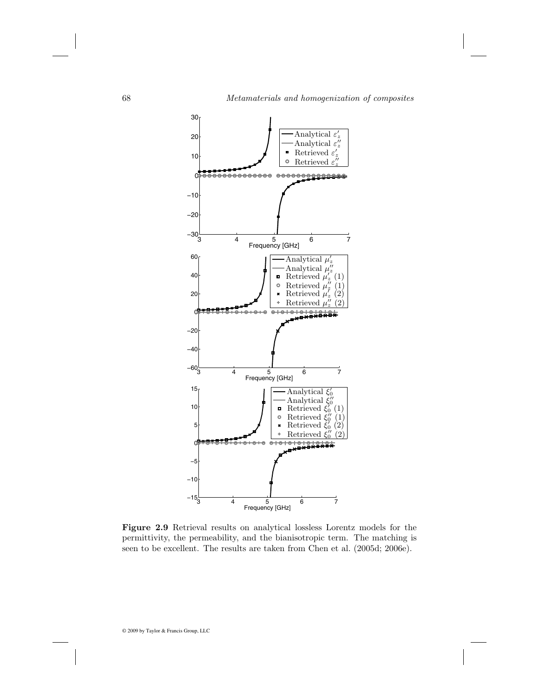<span id="page-39-0"></span>

**Figure 2.9** Retrieval results on analytical lossless Lorentz models for the permittivity, the permeability, and the bianisotropic term. The matching is seen to be excellent. The results are taken from Chen et al. (2005d; 2006e).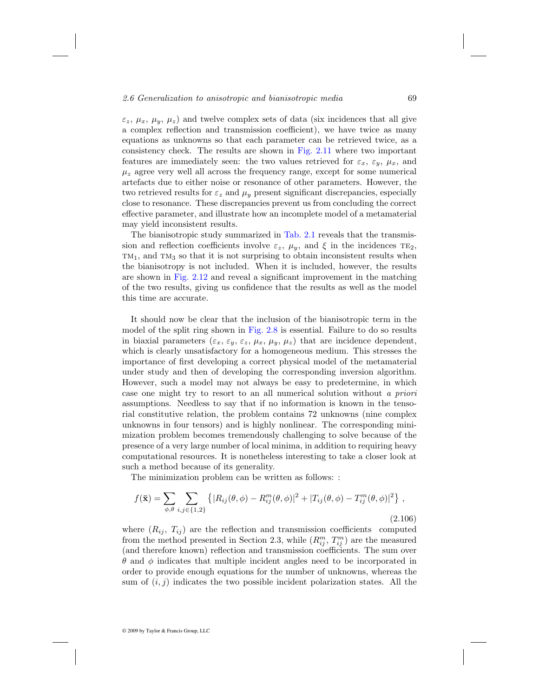$\varepsilon_z$ ,  $\mu_x$ ,  $\mu_y$ ,  $\mu_z$ ) and twelve complex sets of data (six incidences that all give a complex reflection and transmission coefficient), we have twice as many equations as unknowns so that each parameter can be retrieved twice, as a consistency check. The results are shown in [Fig. 2.11](#page-44-0) where two important features are immediately seen: the two values retrieved for  $\varepsilon_x$ ,  $\varepsilon_y$ ,  $\mu_x$ , and  $\mu_z$  agree very well all across the frequency range, except for some numerical artefacts due to either noise or resonance of other parameters. However, the two retrieved results for  $\varepsilon_z$  and  $\mu_y$  present significant discrepancies, especially close to resonance. These discrepancies prevent us from concluding the correct effective parameter, and illustrate how an incomplete model of a metamaterial may yield inconsistent results.

The bianisotropic study summarized in [Tab. 2.1](#page-37-0) reveals that the transmission and reflection coefficients involve  $\varepsilon_z$ ,  $\mu_y$ , and  $\xi$  in the incidences TE<sub>2</sub>,  $TM_1$ , and  $TM_3$  so that it is not surprising to obtain inconsistent results when the bianisotropy is not included. When it is included, however, the results are shown in [Fig. 2.12](#page-45-0) and reveal a significant improvement in the matching of the two results, giving us confidence that the results as well as the model this time are accurate.

It should now be clear that the inclusion of the bianisotropic term in the model of the split ring shown in [Fig. 2.8](#page-37-0) is essential. Failure to do so results in biaxial parameters  $(\varepsilon_x, \varepsilon_y, \varepsilon_z, \mu_x, \mu_y, \mu_z)$  that are incidence dependent, which is clearly unsatisfactory for a homogeneous medium. This stresses the importance of first developing a correct physical model of the metamaterial under study and then of developing the corresponding inversion algorithm. However, such a model may not always be easy to predetermine, in which case one might try to resort to an all numerical solution without *a priori* assumptions. Needless to say that if no information is known in the tensorial constitutive relation, the problem contains 72 unknowns (nine complex unknowns in four tensors) and is highly nonlinear. The corresponding minimization problem becomes tremendously challenging to solve because of the presence of a very large number of local minima, in addition to requiring heavy computational resources. It is nonetheless interesting to take a closer look at such a method because of its generality.

The minimization problem can be written as follows: :

$$
f(\bar{\mathbf{x}}) = \sum_{\phi,\theta} \sum_{i,j \in \{1,2\}} \left\{ |R_{ij}(\theta,\phi) - R_{ij}^m(\theta,\phi)|^2 + |T_{ij}(\theta,\phi) - T_{ij}^m(\theta,\phi)|^2 \right\},\tag{2.106}
$$

where  $(R_{ij}, T_{ij})$  are the reflection and transmission coefficients computed from the method presented in Section 2.3, while  $(R_{ij}^m, T_{ij}^m)$  are the measured (and therefore known) reflection and transmission coefficients. The sum over  $\theta$  and  $\phi$  indicates that multiple incident angles need to be incorporated in order to provide enough equations for the number of unknowns, whereas the sum of  $(i, j)$  indicates the two possible incident polarization states. All the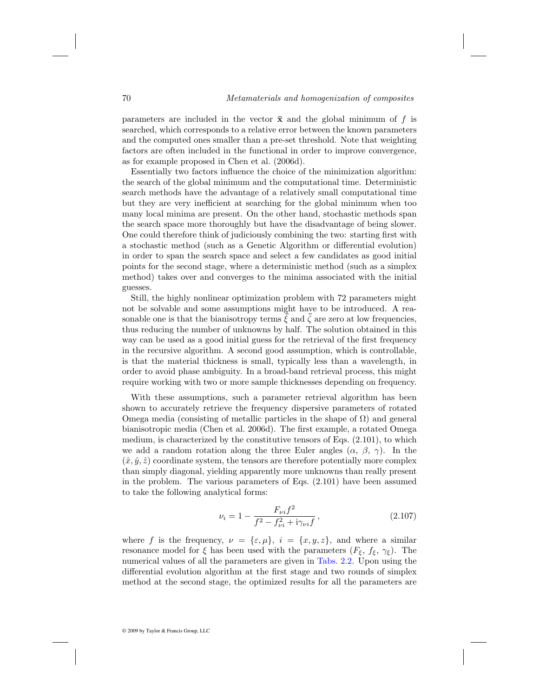parameters are included in the vector  $\bar{x}$  and the global minimum of f is searched, which corresponds to a relative error between the known parameters and the computed ones smaller than a pre-set threshold. Note that weighting factors are often included in the functional in order to improve convergence, as for example proposed in Chen et al. (2006d).

Essentially two factors influence the choice of the minimization algorithm: the search of the global minimum and the computational time. Deterministic search methods have the advantage of a relatively small computational time but they are very inefficient at searching for the global minimum when too many local minima are present. On the other hand, stochastic methods span the search space more thoroughly but have the disadvantage of being slower. One could therefore think of judiciously combining the two: starting first with a stochastic method (such as a Genetic Algorithm or differential evolution) in order to span the search space and select a few candidates as good initial points for the second stage, where a deterministic method (such as a simplex method) takes over and converges to the minima associated with the initial guesses.

Still, the highly nonlinear optimization problem with 72 parameters might not be solvable and some assumptions might have to be introduced. A reasonable one is that the bianisotropy terms  $\xi$  and  $\zeta$  are zero at low frequencies, thus reducing the number of unknowns by half. The solution obtained in this way can be used as a good initial guess for the retrieval of the first frequency in the recursive algorithm. A second good assumption, which is controllable, is that the material thickness is small, typically less than a wavelength, in order to avoid phase ambiguity. In a broad-band retrieval process, this might require working with two or more sample thicknesses depending on frequency.

With these assumptions, such a parameter retrieval algorithm has been shown to accurately retrieve the frequency dispersive parameters of rotated Omega media (consisting of metallic particles in the shape of Ω) and general bianisotropic media (Chen et al. 2006d). The first example, a rotated Omega medium, is characterized by the constitutive tensors of Eqs. (2.101), to which we add a random rotation along the three Euler angles  $(\alpha, \beta, \gamma)$ . In the  $(\hat{x}, \hat{y}, \hat{z})$  coordinate system, the tensors are therefore potentially more complex than simply diagonal, yielding apparently more unknowns than really present in the problem. The various parameters of Eqs. (2.101) have been assumed to take the following analytical forms:

$$
\nu_i = 1 - \frac{F_{\nu i} f^2}{f^2 - f_{\nu i}^2 + i \gamma_{\nu i} f},
$$
\n(2.107)

where f is the frequency,  $\nu = {\varepsilon, \mu}, i = {x, y, z}$ , and where a similar resonance model for  $\xi$  has been used with the parameters  $(F_{\xi}, f_{\xi}, \gamma_{\xi})$ . The numerical values of all the parameters are given in [Tabs. 2.2](#page-42-0). Upon using the differential evolution algorithm at the first stage and two rounds of simplex method at the second stage, the optimized results for all the parameters are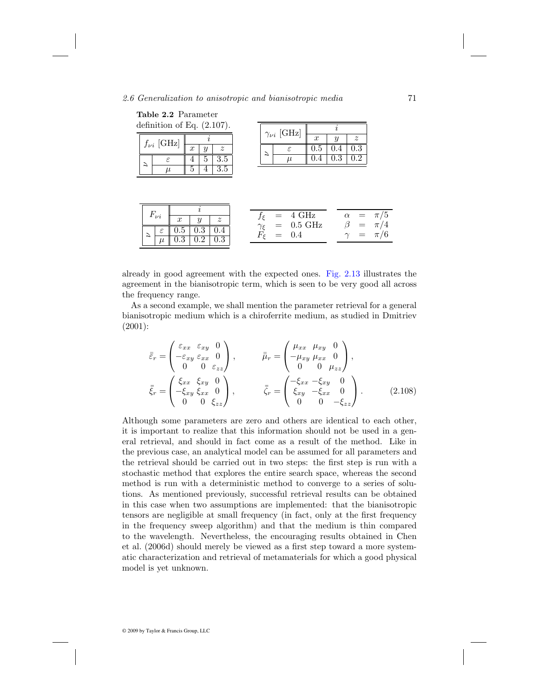<span id="page-42-0"></span>**Table 2.2** Parameter definition of Eq. (2.107).

| $f_{\nu i}$ [GHz] |   | $\boldsymbol{x}$ | у | $\tilde{\mathcal{C}}$ |  |  |
|-------------------|---|------------------|---|-----------------------|--|--|
|                   | ε |                  | ь | 3.5                   |  |  |
|                   | u |                  |   | 5                     |  |  |

| $\gamma_{\nu i}$ [GHz] |      |                  |     |           |  |  |
|------------------------|------|------------------|-----|-----------|--|--|
|                        |      | $\boldsymbol{x}$ |     |           |  |  |
|                        |      | 0.5              |     | $\rm 0.3$ |  |  |
|                        | I I. |                  | 0.3 |           |  |  |

| $F_{\nu i}$   |                  |                  |  |  | $= 4 \text{ GHz}$ | $\alpha$ | $\pi/5$     |
|---------------|------------------|------------------|--|--|-------------------|----------|-------------|
| $\varepsilon$ | $\overline{0.5}$ | $\overline{0.3}$ |  |  | $=$ 0.5 GHz       |          | $=$ $\pi/4$ |
| $\mu$         |                  |                  |  |  | $= 0.4$           |          | $=$ $\pi/6$ |

already in good agreement with the expected ones. [Fig. 2.13](#page-46-0) illustrates the agreement in the bianisotropic term, which is seen to be very good all across the frequency range.

As a second example, we shall mention the parameter retrieval for a general bianisotropic medium which is a chiroferrite medium, as studied in Dmitriev (2001):

$$
\bar{\bar{\varepsilon}}_r = \begin{pmatrix} \varepsilon_{xx} & \varepsilon_{xy} & 0 \\ -\varepsilon_{xy} & \varepsilon_{xx} & 0 \\ 0 & 0 & \varepsilon_{zz} \end{pmatrix}, \qquad \bar{\mu}_r = \begin{pmatrix} \mu_{xx} & \mu_{xy} & 0 \\ -\mu_{xy} & \mu_{xx} & 0 \\ 0 & 0 & \mu_{zz} \end{pmatrix},
$$

$$
\bar{\bar{\xi}}_r = \begin{pmatrix} \xi_{xx} & \xi_{xy} & 0 \\ -\xi_{xy} & \xi_{xx} & 0 \\ 0 & 0 & \xi_{zz} \end{pmatrix}, \qquad \bar{\zeta}_r = \begin{pmatrix} -\xi_{xx} & -\xi_{xy} & 0 \\ \xi_{xy} & -\xi_{xx} & 0 \\ 0 & 0 & -\xi_{zz} \end{pmatrix}.
$$
(2.108)

Although some parameters are zero and others are identical to each other, it is important to realize that this information should not be used in a general retrieval, and should in fact come as a result of the method. Like in the previous case, an analytical model can be assumed for all parameters and the retrieval should be carried out in two steps: the first step is run with a stochastic method that explores the entire search space, whereas the second method is run with a deterministic method to converge to a series of solutions. As mentioned previously, successful retrieval results can be obtained in this case when two assumptions are implemented: that the bianisotropic tensors are negligible at small frequency (in fact, only at the first frequency in the frequency sweep algorithm) and that the medium is thin compared to the wavelength. Nevertheless, the encouraging results obtained in Chen et al. (2006d) should merely be viewed as a first step toward a more systematic characterization and retrieval of metamaterials for which a good physical model is yet unknown.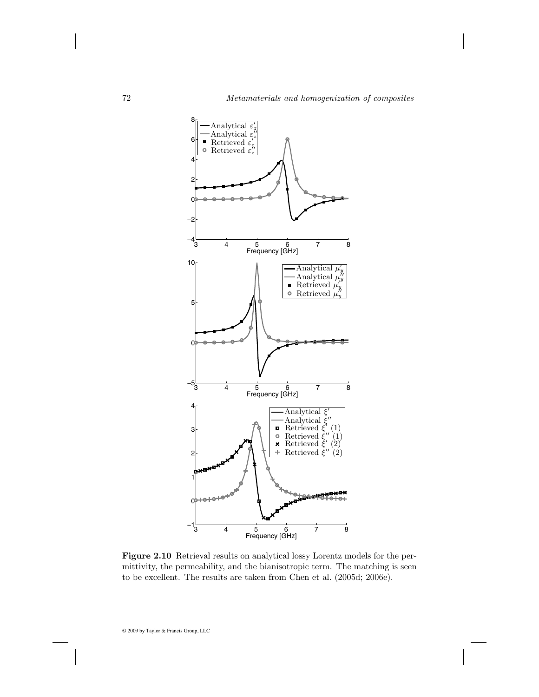<span id="page-43-0"></span>

**Figure 2.10** Retrieval results on analytical lossy Lorentz models for the permittivity, the permeability, and the bianisotropic term. The matching is seen to be excellent. The results are taken from Chen et al. (2005d; 2006e).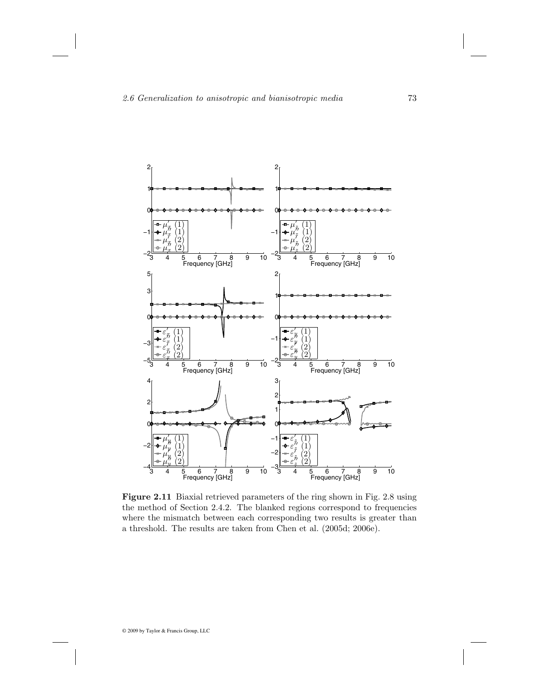<span id="page-44-0"></span>

**Figure 2.11** Biaxial retrieved parameters of the ring shown in Fig. 2.8 using the method of Section 2.4.2. The blanked regions correspond to frequencies where the mismatch between each corresponding two results is greater than a threshold. The results are taken from Chen et al. (2005d; 2006e).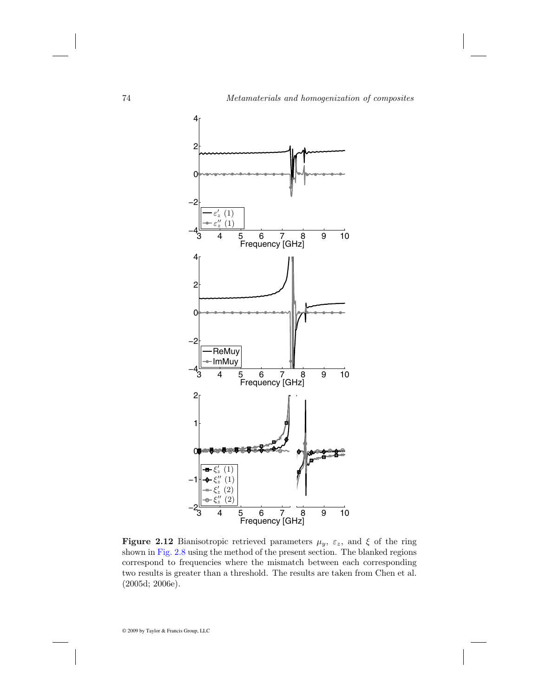<span id="page-45-0"></span>

**Figure 2.12** Bianisotropic retrieved parameters  $\mu_y$ ,  $\varepsilon_z$ , and  $\xi$  of the ring shown in [Fig. 2.8](#page-37-0) using the method of the present section. The blanked regions correspond to frequencies where the mismatch between each corresponding two results is greater than a threshold. The results are taken from Chen et al. (2005d; 2006e).